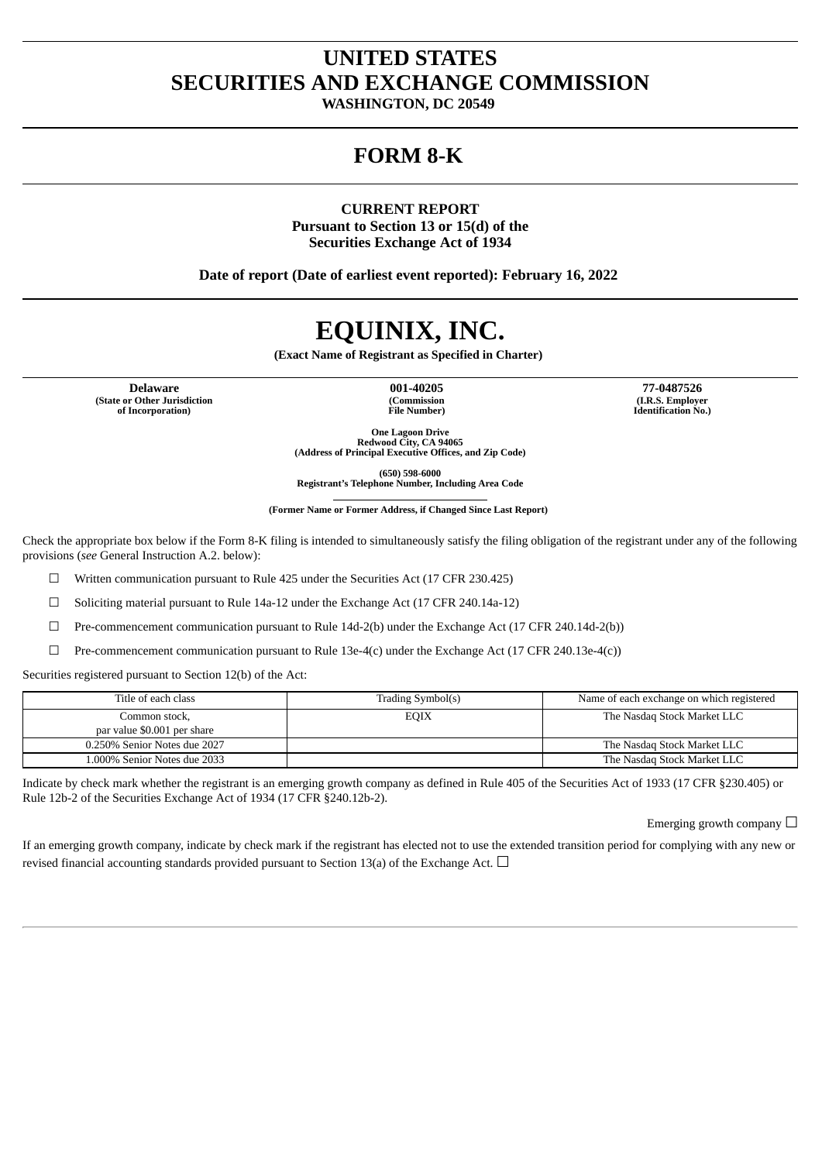# **UNITED STATES SECURITIES AND EXCHANGE COMMISSION**

**WASHINGTON, DC 20549**

## **FORM 8-K**

**CURRENT REPORT Pursuant to Section 13 or 15(d) of the Securities Exchange Act of 1934**

**Date of report (Date of earliest event reported): February 16, 2022**

# **EQUINIX, INC.**

**(Exact Name of Registrant as Specified in Charter)**

**(State or Other Jurisdiction of Incorporation)**

**(Commission File Number)**

**Delaware 001-40205 77-0487526 (I.R.S. Employer Identification No.)**

> **One Lagoon Drive Redwood City, CA 94065 (Address of Principal Executive Offices, and Zip Code)**

**(650) 598-6000 Registrant's Telephone Number, Including Area Code**

**(Former Name or Former Address, if Changed Since Last Report)**

Check the appropriate box below if the Form 8-K filing is intended to simultaneously satisfy the filing obligation of the registrant under any of the following provisions (*see* General Instruction A.2. below):

 $\Box$  Written communication pursuant to Rule 425 under the Securities Act (17 CFR 230.425)

☐ Soliciting material pursuant to Rule 14a-12 under the Exchange Act (17 CFR 240.14a-12)

 $\Box$  Pre-commencement communication pursuant to Rule 14d-2(b) under the Exchange Act (17 CFR 240.14d-2(b))

 $\Box$  Pre-commencement communication pursuant to Rule 13e-4(c) under the Exchange Act (17 CFR 240.13e-4(c))

Securities registered pursuant to Section 12(b) of the Act:

| Title of each class                          | Trading Symbol(s) | Name of each exchange on which registered |
|----------------------------------------------|-------------------|-------------------------------------------|
| Common stock,<br>par value \$0.001 per share | <b>EQIX</b>       | The Nasdag Stock Market LLC               |
| 0.250% Senior Notes due 2027                 |                   | The Nasdag Stock Market LLC               |
| 1.000% Senior Notes due 2033                 |                   | The Nasdag Stock Market LLC               |

Indicate by check mark whether the registrant is an emerging growth company as defined in Rule 405 of the Securities Act of 1933 (17 CFR §230.405) or Rule 12b-2 of the Securities Exchange Act of 1934 (17 CFR §240.12b-2).

Emerging growth company  $\Box$ 

If an emerging growth company, indicate by check mark if the registrant has elected not to use the extended transition period for complying with any new or revised financial accounting standards provided pursuant to Section 13(a) of the Exchange Act.  $\Box$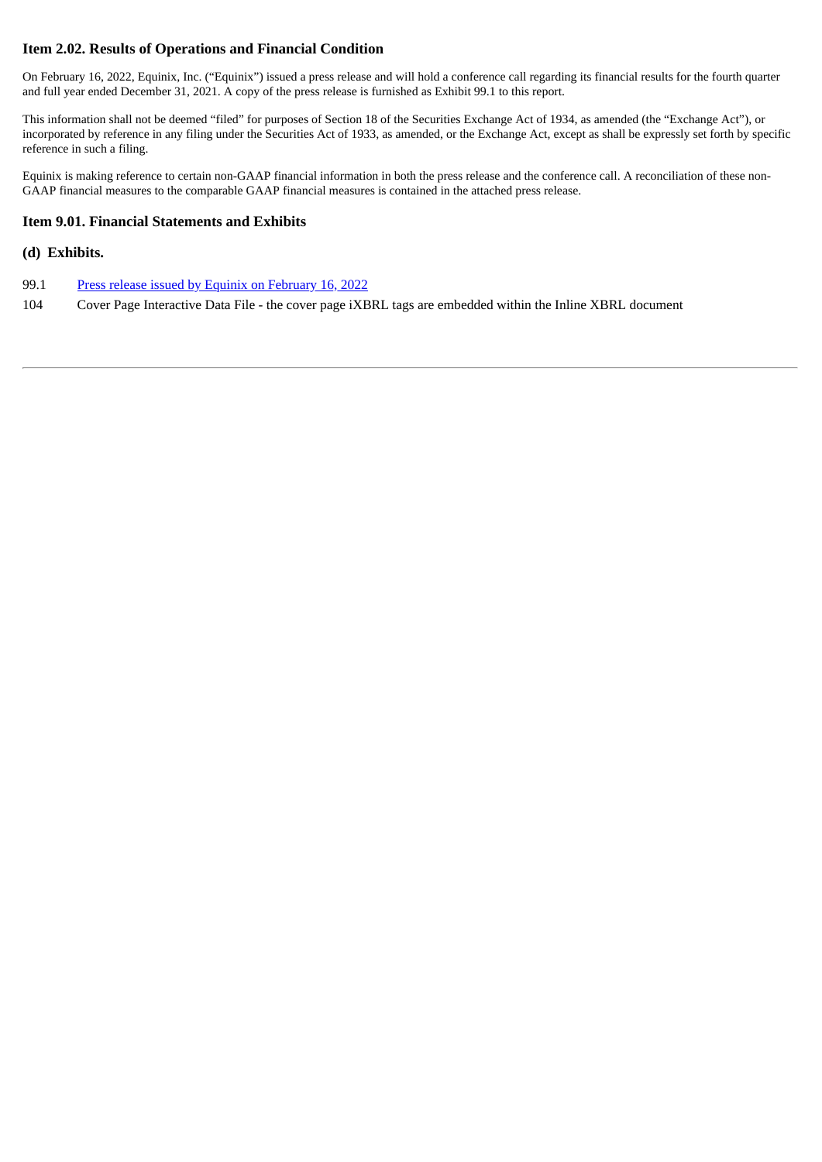## **Item 2.02. Results of Operations and Financial Condition**

On February 16, 2022, Equinix, Inc. ("Equinix") issued a press release and will hold a conference call regarding its financial results for the fourth quarter and full year ended December 31, 2021. A copy of the press release is furnished as Exhibit 99.1 to this report.

This information shall not be deemed "filed" for purposes of Section 18 of the Securities Exchange Act of 1934, as amended (the "Exchange Act"), or incorporated by reference in any filing under the Securities Act of 1933, as amended, or the Exchange Act, except as shall be expressly set forth by specific reference in such a filing.

Equinix is making reference to certain non-GAAP financial information in both the press release and the conference call. A reconciliation of these non-GAAP financial measures to the comparable GAAP financial measures is contained in the attached press release.

#### **Item 9.01. Financial Statements and Exhibits**

#### **(d) Exhibits.**

- 99.1 Press release issued by Equinix on [February](#page-3-0) 16, 2022
- 104 Cover Page Interactive Data File the cover page iXBRL tags are embedded within the Inline XBRL document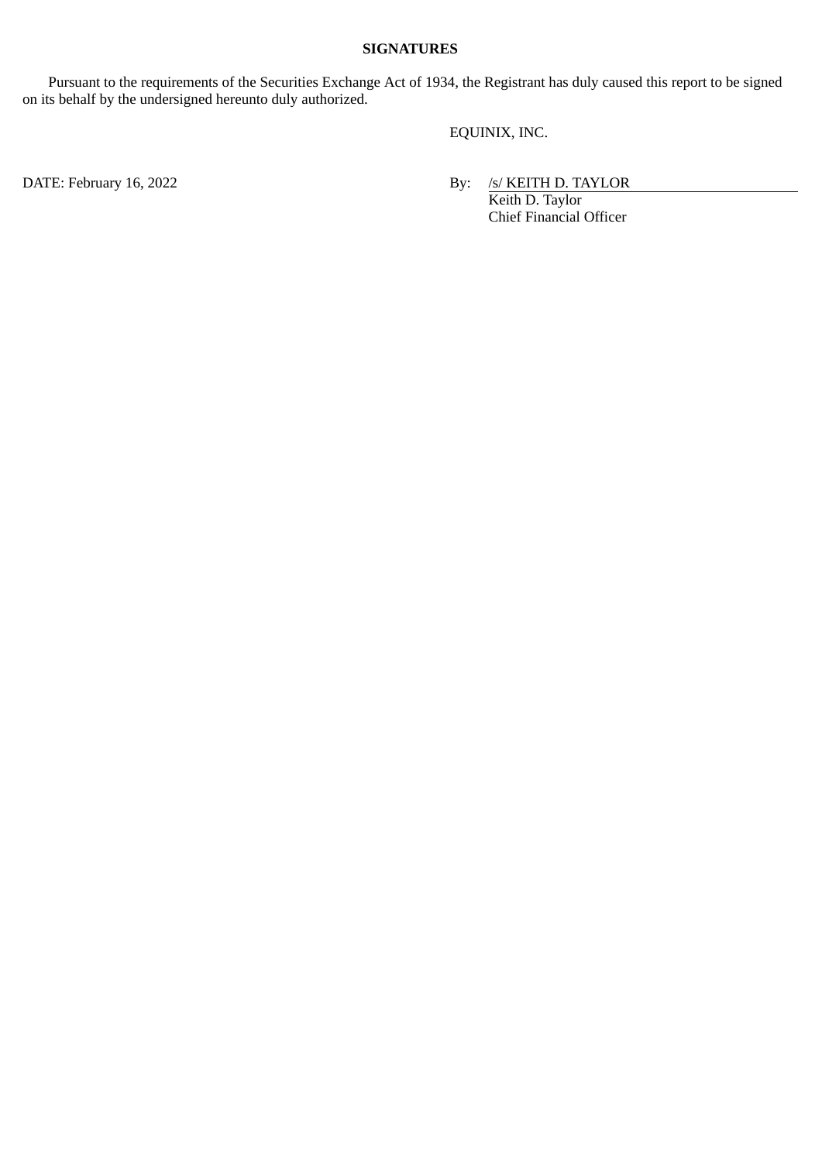#### **SIGNATURES**

Pursuant to the requirements of the Securities Exchange Act of 1934, the Registrant has duly caused this report to be signed on its behalf by the undersigned hereunto duly authorized.

EQUINIX, INC.

DATE: February 16, 2022 **By:** /s/ KEITH D. TAYLOR Keith D. Taylor Chief Financial Officer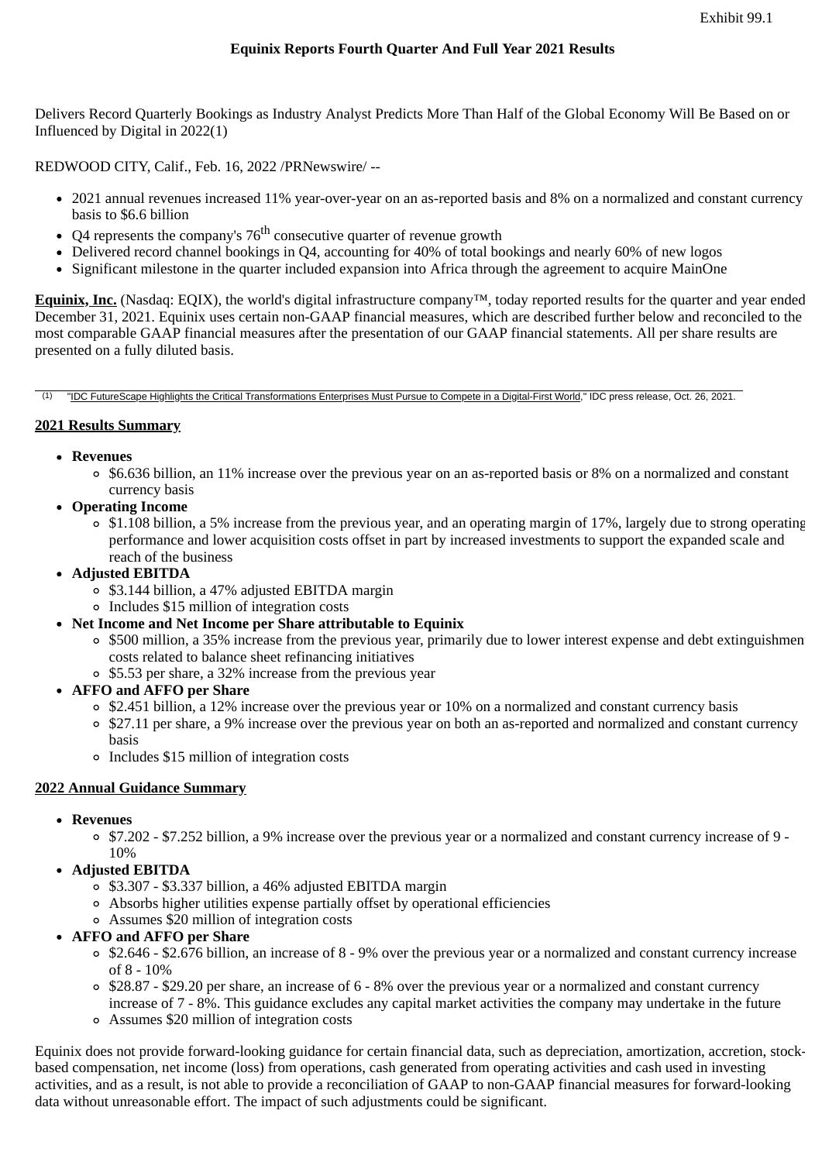<span id="page-3-0"></span>Delivers Record Quarterly Bookings as Industry Analyst Predicts More Than Half of the Global Economy Will Be Based on or Influenced by Digital in 2022(1)

REDWOOD CITY, Calif., Feb. 16, 2022 /PRNewswire/ --

- 2021 annual revenues increased 11% year-over-year on an as-reported basis and 8% on a normalized and constant currency basis to \$6.6 billion
- Q4 represents the company's  $76^{\rm th}$  consecutive quarter of revenue growth
- $\bullet$  Delivered record channel bookings in O4, accounting for 40% of total bookings and nearly 60% of new logos
- Significant milestone in the quarter included expansion into Africa through the agreement to acquire MainOne

**Equinix, Inc.** (Nasdaq: EQIX), the world's digital infrastructure company™, today reported results for the quarter and year ended December 31, 2021. Equinix uses certain non-GAAP financial measures, which are described further below and reconciled to the most comparable GAAP financial measures after the presentation of our GAAP financial statements. All per share results are presented on a fully diluted basis.

(1) "IDC FutureScape Highlights the Critical Transformations Enterprises Must Pursue to Compete in a Digital-First World," IDC press release, Oct. 26, 2021.

#### **2021 Results Summary**

- **Revenues**
	- \$6.636 billion, an 11% increase over the previous year on an as-reported basis or 8% on a normalized and constant currency basis
- **Operating Income**
	- $\circ$  \$1.108 billion, a 5% increase from the previous year, and an operating margin of 17%, largely due to strong operating performance and lower acquisition costs offset in part by increased investments to support the expanded scale and reach of the business
- **Adjusted EBITDA**
	- \$3.144 billion, a 47% adjusted EBITDA margin
	- Includes \$15 million of integration costs
- **Net Income and Net Income per Share attributable to Equinix**
	- $\circ$  \$500 million, a 35% increase from the previous year, primarily due to lower interest expense and debt extinguishment costs related to balance sheet refinancing initiatives
	- \$5.53 per share, a 32% increase from the previous year
- **AFFO and AFFO per Share**
	- \$2.451 billion, a 12% increase over the previous year or 10% on a normalized and constant currency basis
	- <sup>o</sup> \$27.11 per share, a 9% increase over the previous year on both an as-reported and normalized and constant currency basis
	- Includes \$15 million of integration costs

#### **2022 Annual Guidance Summary**

- **Revenues**
	- $\circ$  \$7.202 \$7.252 billion, a 9% increase over the previous year or a normalized and constant currency increase of 9 -10%
- **Adjusted EBITDA**
	- $\overline{\circ}$  \$3.307 \$3.337 billion, a 46% adjusted EBITDA margin
	- Absorbs higher utilities expense partially offset by operational efficiencies
	- Assumes \$20 million of integration costs
- **AFFO and AFFO per Share**
	- $\circ$  \$2.646 \$2.676 billion, an increase of 8 9% over the previous year or a normalized and constant currency increase of 8 - 10%
	- $\circ$  \$28.87 \$29.20 per share, an increase of 6 8% over the previous year or a normalized and constant currency increase of 7 - 8%. This guidance excludes any capital market activities the company may undertake in the future
	- Assumes \$20 million of integration costs

Equinix does not provide forward-looking guidance for certain financial data, such as depreciation, amortization, accretion, stockbased compensation, net income (loss) from operations, cash generated from operating activities and cash used in investing activities, and as a result, is not able to provide a reconciliation of GAAP to non-GAAP financial measures for forward-looking data without unreasonable effort. The impact of such adjustments could be significant.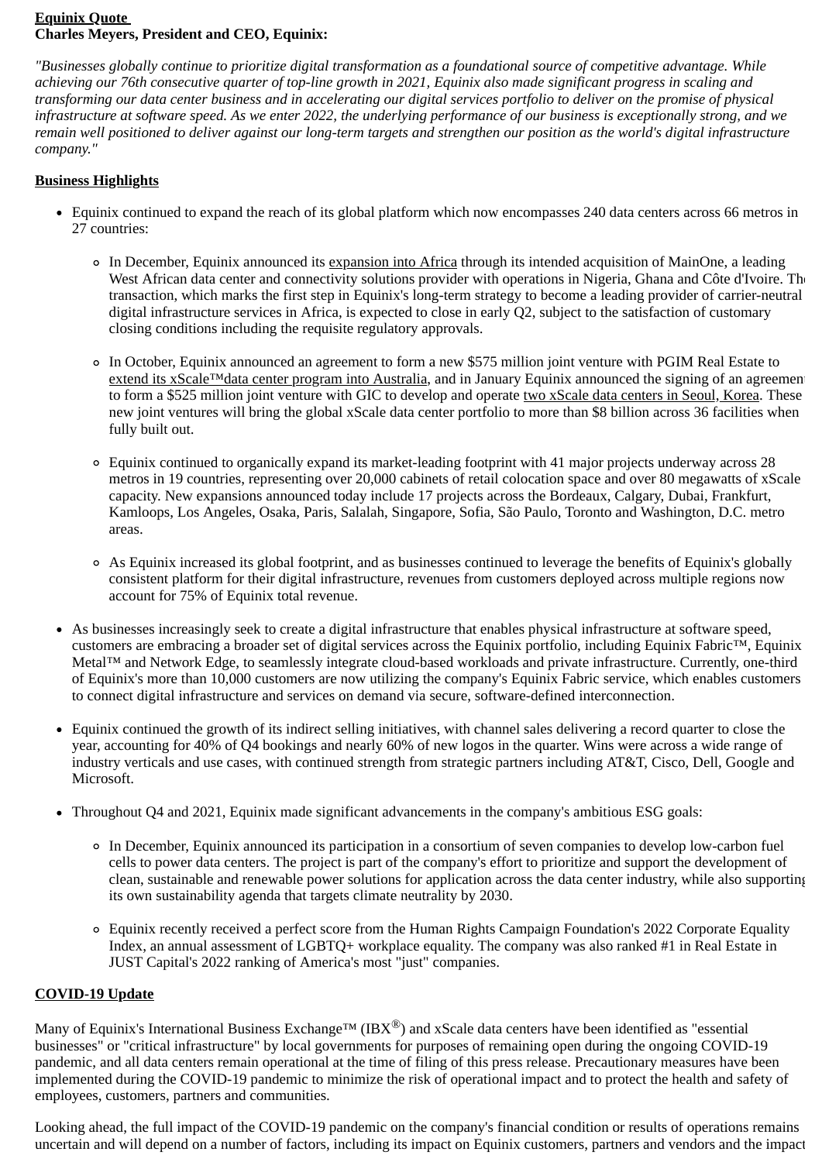## **Equinix Quote Charles Meyers, President and CEO, Equinix:**

*"Businesses globally continue to prioritize digital transformation as a foundational source of competitive advantage. While achieving our 76th consecutive quarter of top-line growth in 2021, Equinix also made significant progress in scaling and transforming our data center business and in accelerating our digital services portfolio to deliver on the promise of physical infrastructure at software speed. As we enter 2022, the underlying performance of our business is exceptionally strong, and we remain well positioned to deliver against our long-term targets and strengthen our position as the world's digital infrastructure company."*

## **Business Highlights**

- Equinix continued to expand the reach of its global platform which now encompasses 240 data centers across 66 metros in 27 countries:
	- In December, Equinix announced its expansion into Africa through its intended acquisition of MainOne, a leading West African data center and connectivity solutions provider with operations in Nigeria, Ghana and Côte d'Ivoire. The transaction, which marks the first step in Equinix's long-term strategy to become a leading provider of carrier-neutral digital infrastructure services in Africa, is expected to close in early Q2, subject to the satisfaction of customary closing conditions including the requisite regulatory approvals.
	- In October, Equinix announced an agreement to form a new \$575 million joint venture with PGIM Real Estate to extend its xScale™data center program into Australia, and in January Equinix announced the signing of an agreement to form a \$525 million joint venture with GIC to develop and operate two xScale data centers in Seoul, Korea. These new joint ventures will bring the global xScale data center portfolio to more than \$8 billion across 36 facilities when fully built out.
	- Equinix continued to organically expand its market-leading footprint with 41 major projects underway across 28 metros in 19 countries, representing over 20,000 cabinets of retail colocation space and over 80 megawatts of xScale capacity. New expansions announced today include 17 projects across the Bordeaux, Calgary, Dubai, Frankfurt, Kamloops, Los Angeles, Osaka, Paris, Salalah, Singapore, Sofia, São Paulo, Toronto and Washington, D.C. metro areas.
	- As Equinix increased its global footprint, and as businesses continued to leverage the benefits of Equinix's globally consistent platform for their digital infrastructure, revenues from customers deployed across multiple regions now account for 75% of Equinix total revenue.
- As businesses increasingly seek to create a digital infrastructure that enables physical infrastructure at software speed, customers are embracing a broader set of digital services across the Equinix portfolio, including Equinix Fabric™, Equinix Metal™ and Network Edge, to seamlessly integrate cloud-based workloads and private infrastructure. Currently, one-third of Equinix's more than 10,000 customers are now utilizing the company's Equinix Fabric service, which enables customers to connect digital infrastructure and services on demand via secure, software-defined interconnection.
- Equinix continued the growth of its indirect selling initiatives, with channel sales delivering a record quarter to close the year, accounting for 40% of Q4 bookings and nearly 60% of new logos in the quarter. Wins were across a wide range of industry verticals and use cases, with continued strength from strategic partners including AT&T, Cisco, Dell, Google and Microsoft.
- Throughout Q4 and 2021, Equinix made significant advancements in the company's ambitious ESG goals:
	- In December, Equinix announced its participation in a consortium of seven companies to develop low-carbon fuel cells to power data centers. The project is part of the company's effort to prioritize and support the development of clean, sustainable and renewable power solutions for application across the data center industry, while also supporting its own sustainability agenda that targets climate neutrality by 2030.
	- Equinix recently received a perfect score from the Human Rights Campaign Foundation's 2022 Corporate Equality Index, an annual assessment of LGBTQ+ workplace equality. The company was also ranked #1 in Real Estate in JUST Capital's 2022 ranking of America's most "just" companies.

## **COVID-19 Update**

Many of Equinix's International Business Exchange<sup>TM</sup> (IBX<sup>®</sup>) and xScale data centers have been identified as "essential businesses" or "critical infrastructure" by local governments for purposes of remaining open during the ongoing COVID-19 pandemic, and all data centers remain operational at the time of filing of this press release. Precautionary measures have been implemented during the COVID-19 pandemic to minimize the risk of operational impact and to protect the health and safety of employees, customers, partners and communities.

Looking ahead, the full impact of the COVID-19 pandemic on the company's financial condition or results of operations remains uncertain and will depend on a number of factors, including its impact on Equinix customers, partners and vendors and the impact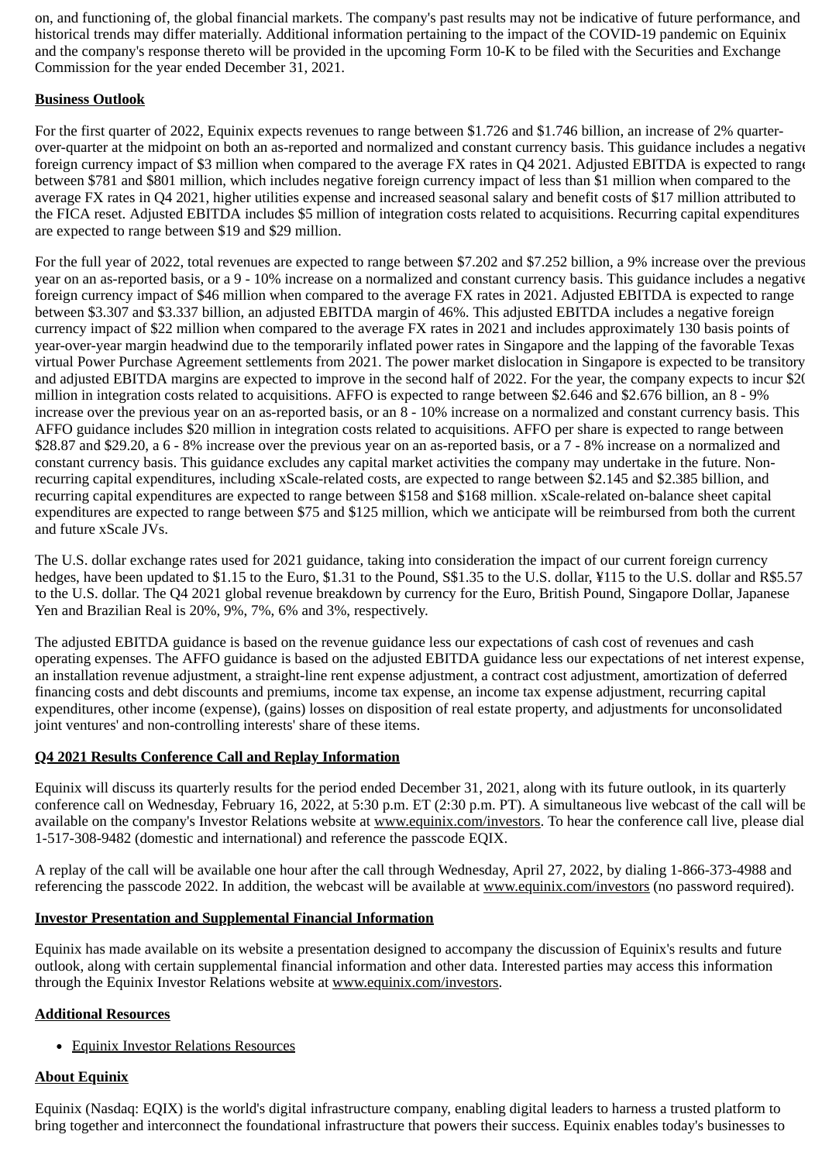on, and functioning of, the global financial markets. The company's past results may not be indicative of future performance, and historical trends may differ materially. Additional information pertaining to the impact of the COVID-19 pandemic on Equinix and the company's response thereto will be provided in the upcoming Form 10-K to be filed with the Securities and Exchange Commission for the year ended December 31, 2021.

## **Business Outlook**

For the first quarter of 2022, Equinix expects revenues to range between \$1.726 and \$1.746 billion, an increase of 2% quarterover-quarter at the midpoint on both an as-reported and normalized and constant currency basis. This guidance includes a negative foreign currency impact of \$3 million when compared to the average FX rates in Q4 2021. Adjusted EBITDA is expected to range between \$781 and \$801 million, which includes negative foreign currency impact of less than \$1 million when compared to the average FX rates in Q4 2021, higher utilities expense and increased seasonal salary and benefit costs of \$17 million attributed to the FICA reset. Adjusted EBITDA includes \$5 million of integration costs related to acquisitions. Recurring capital expenditures are expected to range between \$19 and \$29 million.

For the full year of 2022, total revenues are expected to range between \$7.202 and \$7.252 billion, a 9% increase over the previous year on an as-reported basis, or a 9 - 10% increase on a normalized and constant currency basis. This guidance includes a negative foreign currency impact of \$46 million when compared to the average FX rates in 2021. Adjusted EBITDA is expected to range between \$3.307 and \$3.337 billion, an adjusted EBITDA margin of 46%. This adjusted EBITDA includes a negative foreign currency impact of \$22 million when compared to the average FX rates in 2021 and includes approximately 130 basis points of year-over-year margin headwind due to the temporarily inflated power rates in Singapore and the lapping of the favorable Texas virtual Power Purchase Agreement settlements from 2021. The power market dislocation in Singapore is expected to be transitory and adjusted EBITDA margins are expected to improve in the second half of 2022. For the year, the company expects to incur \$20 million in integration costs related to acquisitions. AFFO is expected to range between \$2.646 and \$2.676 billion, an 8 - 9% increase over the previous year on an as-reported basis, or an 8 - 10% increase on a normalized and constant currency basis. This AFFO guidance includes \$20 million in integration costs related to acquisitions. AFFO per share is expected to range between \$28.87 and \$29.20, a 6 - 8% increase over the previous year on an as-reported basis, or a 7 - 8% increase on a normalized and constant currency basis. This guidance excludes any capital market activities the company may undertake in the future. Nonrecurring capital expenditures, including xScale-related costs, are expected to range between \$2.145 and \$2.385 billion, and recurring capital expenditures are expected to range between \$158 and \$168 million. xScale-related on-balance sheet capital expenditures are expected to range between \$75 and \$125 million, which we anticipate will be reimbursed from both the current and future xScale JVs.

The U.S. dollar exchange rates used for 2021 guidance, taking into consideration the impact of our current foreign currency hedges, have been updated to \$1.15 to the Euro, \$1.31 to the Pound, S\$1.35 to the U.S. dollar, ¥115 to the U.S. dollar and R\$5.57 to the U.S. dollar. The Q4 2021 global revenue breakdown by currency for the Euro, British Pound, Singapore Dollar, Japanese Yen and Brazilian Real is 20%, 9%, 7%, 6% and 3%, respectively.

The adjusted EBITDA guidance is based on the revenue guidance less our expectations of cash cost of revenues and cash operating expenses. The AFFO guidance is based on the adjusted EBITDA guidance less our expectations of net interest expense, an installation revenue adjustment, a straight-line rent expense adjustment, a contract cost adjustment, amortization of deferred financing costs and debt discounts and premiums, income tax expense, an income tax expense adjustment, recurring capital expenditures, other income (expense), (gains) losses on disposition of real estate property, and adjustments for unconsolidated joint ventures' and non-controlling interests' share of these items.

#### **Q4 2021 Results Conference Call and Replay Information**

Equinix will discuss its quarterly results for the period ended December 31, 2021, along with its future outlook, in its quarterly conference call on Wednesday, February 16, 2022, at 5:30 p.m. ET (2:30 p.m. PT). A simultaneous live webcast of the call will be available on the company's Investor Relations website at www.equinix.com/investors. To hear the conference call live, please dial 1-517-308-9482 (domestic and international) and reference the passcode EQIX.

A replay of the call will be available one hour after the call through Wednesday, April 27, 2022, by dialing 1-866-373-4988 and referencing the passcode 2022. In addition, the webcast will be available at www.equinix.com/investors (no password required).

#### **Investor Presentation and Supplemental Financial Information**

Equinix has made available on its website a presentation designed to accompany the discussion of Equinix's results and future outlook, along with certain supplemental financial information and other data. Interested parties may access this information through the Equinix Investor Relations website at www.equinix.com/investors.

#### **Additional Resources**

Equinix Investor Relations Resources

## **About Equinix**

Equinix (Nasdaq: EQIX) is the world's digital infrastructure company, enabling digital leaders to harness a trusted platform to bring together and interconnect the foundational infrastructure that powers their success. Equinix enables today's businesses to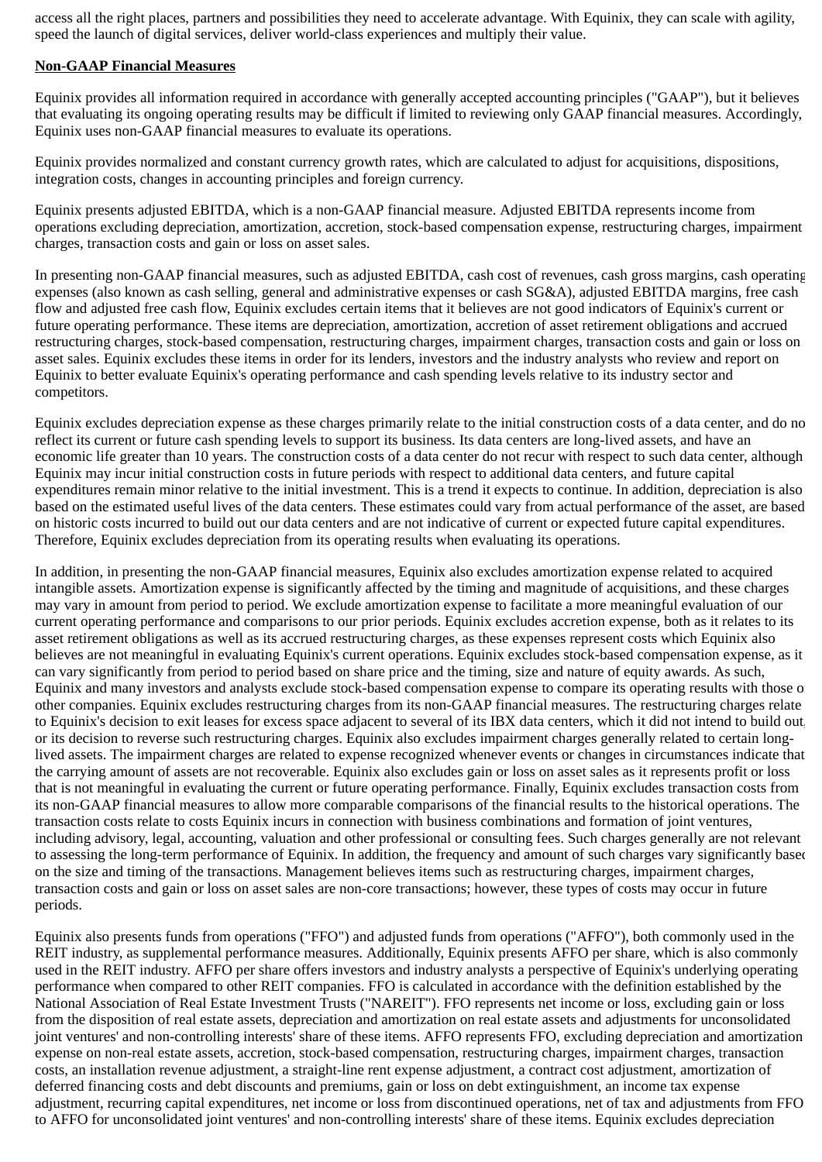access all the right places, partners and possibilities they need to accelerate advantage. With Equinix, they can scale with agility, speed the launch of digital services, deliver world-class experiences and multiply their value.

### **Non-GAAP Financial Measures**

Equinix provides all information required in accordance with generally accepted accounting principles ("GAAP"), but it believes that evaluating its ongoing operating results may be difficult if limited to reviewing only GAAP financial measures. Accordingly, Equinix uses non-GAAP financial measures to evaluate its operations.

Equinix provides normalized and constant currency growth rates, which are calculated to adjust for acquisitions, dispositions, integration costs, changes in accounting principles and foreign currency.

Equinix presents adjusted EBITDA, which is a non-GAAP financial measure. Adjusted EBITDA represents income from operations excluding depreciation, amortization, accretion, stock-based compensation expense, restructuring charges, impairment charges, transaction costs and gain or loss on asset sales.

In presenting non-GAAP financial measures, such as adjusted EBITDA, cash cost of revenues, cash gross margins, cash operating expenses (also known as cash selling, general and administrative expenses or cash SG&A), adjusted EBITDA margins, free cash flow and adjusted free cash flow, Equinix excludes certain items that it believes are not good indicators of Equinix's current or future operating performance. These items are depreciation, amortization, accretion of asset retirement obligations and accrued restructuring charges, stock-based compensation, restructuring charges, impairment charges, transaction costs and gain or loss on asset sales. Equinix excludes these items in order for its lenders, investors and the industry analysts who review and report on Equinix to better evaluate Equinix's operating performance and cash spending levels relative to its industry sector and competitors.

Equinix excludes depreciation expense as these charges primarily relate to the initial construction costs of a data center, and do no reflect its current or future cash spending levels to support its business. Its data centers are long-lived assets, and have an economic life greater than 10 years. The construction costs of a data center do not recur with respect to such data center, although Equinix may incur initial construction costs in future periods with respect to additional data centers, and future capital expenditures remain minor relative to the initial investment. This is a trend it expects to continue. In addition, depreciation is also based on the estimated useful lives of the data centers. These estimates could vary from actual performance of the asset, are based on historic costs incurred to build out our data centers and are not indicative of current or expected future capital expenditures. Therefore, Equinix excludes depreciation from its operating results when evaluating its operations.

In addition, in presenting the non-GAAP financial measures, Equinix also excludes amortization expense related to acquired intangible assets. Amortization expense is significantly affected by the timing and magnitude of acquisitions, and these charges may vary in amount from period to period. We exclude amortization expense to facilitate a more meaningful evaluation of our current operating performance and comparisons to our prior periods. Equinix excludes accretion expense, both as it relates to its asset retirement obligations as well as its accrued restructuring charges, as these expenses represent costs which Equinix also believes are not meaningful in evaluating Equinix's current operations. Equinix excludes stock-based compensation expense, as it can vary significantly from period to period based on share price and the timing, size and nature of equity awards. As such, Equinix and many investors and analysts exclude stock-based compensation expense to compare its operating results with those of other companies. Equinix excludes restructuring charges from its non-GAAP financial measures. The restructuring charges relate to Equinix's decision to exit leases for excess space adjacent to several of its IBX data centers, which it did not intend to build out, or its decision to reverse such restructuring charges. Equinix also excludes impairment charges generally related to certain longlived assets. The impairment charges are related to expense recognized whenever events or changes in circumstances indicate that the carrying amount of assets are not recoverable. Equinix also excludes gain or loss on asset sales as it represents profit or loss that is not meaningful in evaluating the current or future operating performance. Finally, Equinix excludes transaction costs from its non-GAAP financial measures to allow more comparable comparisons of the financial results to the historical operations. The transaction costs relate to costs Equinix incurs in connection with business combinations and formation of joint ventures, including advisory, legal, accounting, valuation and other professional or consulting fees. Such charges generally are not relevant to assessing the long-term performance of Equinix. In addition, the frequency and amount of such charges vary significantly based on the size and timing of the transactions. Management believes items such as restructuring charges, impairment charges, transaction costs and gain or loss on asset sales are non-core transactions; however, these types of costs may occur in future periods.

Equinix also presents funds from operations ("FFO") and adjusted funds from operations ("AFFO"), both commonly used in the REIT industry, as supplemental performance measures. Additionally, Equinix presents AFFO per share, which is also commonly used in the REIT industry. AFFO per share offers investors and industry analysts a perspective of Equinix's underlying operating performance when compared to other REIT companies. FFO is calculated in accordance with the definition established by the National Association of Real Estate Investment Trusts ("NAREIT"). FFO represents net income or loss, excluding gain or loss from the disposition of real estate assets, depreciation and amortization on real estate assets and adjustments for unconsolidated joint ventures' and non-controlling interests' share of these items. AFFO represents FFO, excluding depreciation and amortization expense on non-real estate assets, accretion, stock-based compensation, restructuring charges, impairment charges, transaction costs, an installation revenue adjustment, a straight-line rent expense adjustment, a contract cost adjustment, amortization of deferred financing costs and debt discounts and premiums, gain or loss on debt extinguishment, an income tax expense adjustment, recurring capital expenditures, net income or loss from discontinued operations, net of tax and adjustments from FFO to AFFO for unconsolidated joint ventures' and non-controlling interests' share of these items. Equinix excludes depreciation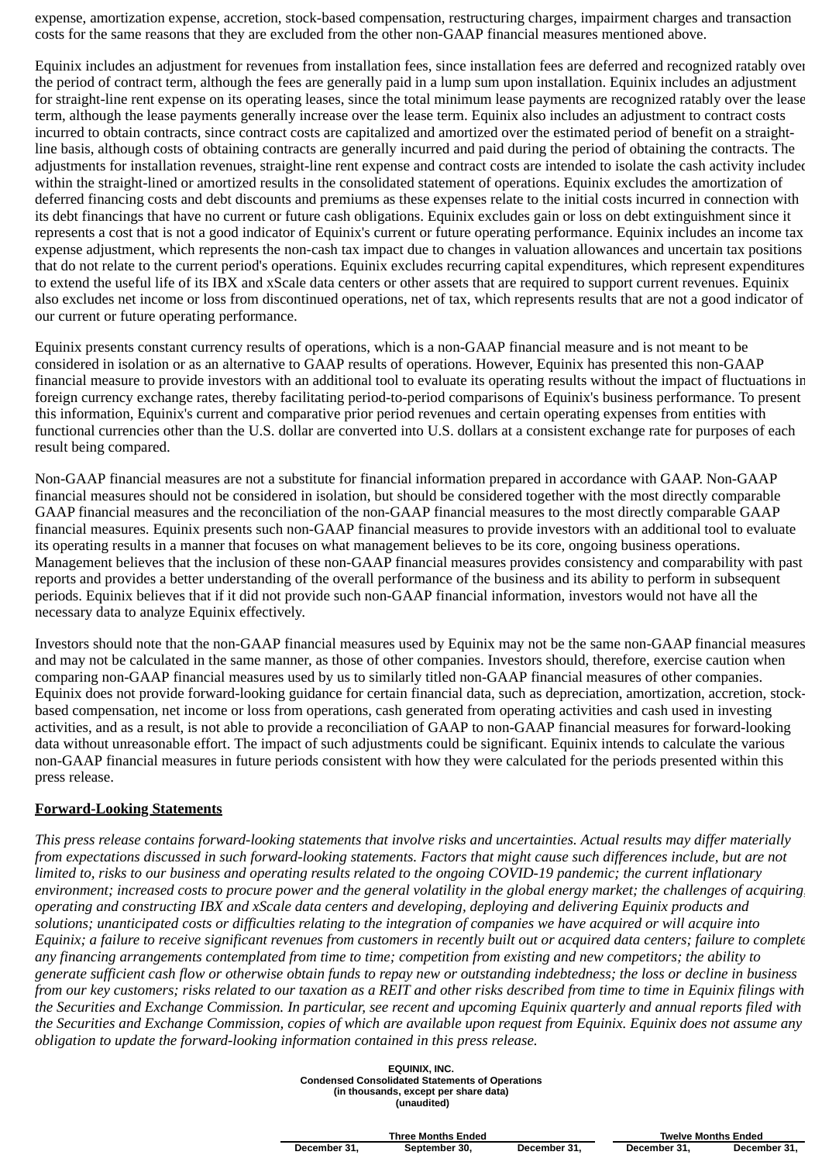expense, amortization expense, accretion, stock-based compensation, restructuring charges, impairment charges and transaction costs for the same reasons that they are excluded from the other non-GAAP financial measures mentioned above.

Equinix includes an adjustment for revenues from installation fees, since installation fees are deferred and recognized ratably over the period of contract term, although the fees are generally paid in a lump sum upon installation. Equinix includes an adjustment for straight-line rent expense on its operating leases, since the total minimum lease payments are recognized ratably over the lease term, although the lease payments generally increase over the lease term. Equinix also includes an adjustment to contract costs incurred to obtain contracts, since contract costs are capitalized and amortized over the estimated period of benefit on a straightline basis, although costs of obtaining contracts are generally incurred and paid during the period of obtaining the contracts. The adjustments for installation revenues, straight-line rent expense and contract costs are intended to isolate the cash activity included within the straight-lined or amortized results in the consolidated statement of operations. Equinix excludes the amortization of deferred financing costs and debt discounts and premiums as these expenses relate to the initial costs incurred in connection with its debt financings that have no current or future cash obligations. Equinix excludes gain or loss on debt extinguishment since it represents a cost that is not a good indicator of Equinix's current or future operating performance. Equinix includes an income tax expense adjustment, which represents the non-cash tax impact due to changes in valuation allowances and uncertain tax positions that do not relate to the current period's operations. Equinix excludes recurring capital expenditures, which represent expenditures to extend the useful life of its IBX and xScale data centers or other assets that are required to support current revenues. Equinix also excludes net income or loss from discontinued operations, net of tax, which represents results that are not a good indicator of our current or future operating performance.

Equinix presents constant currency results of operations, which is a non-GAAP financial measure and is not meant to be considered in isolation or as an alternative to GAAP results of operations. However, Equinix has presented this non-GAAP financial measure to provide investors with an additional tool to evaluate its operating results without the impact of fluctuations in foreign currency exchange rates, thereby facilitating period-to-period comparisons of Equinix's business performance. To present this information, Equinix's current and comparative prior period revenues and certain operating expenses from entities with functional currencies other than the U.S. dollar are converted into U.S. dollars at a consistent exchange rate for purposes of each result being compared.

Non-GAAP financial measures are not a substitute for financial information prepared in accordance with GAAP. Non-GAAP financial measures should not be considered in isolation, but should be considered together with the most directly comparable GAAP financial measures and the reconciliation of the non-GAAP financial measures to the most directly comparable GAAP financial measures. Equinix presents such non-GAAP financial measures to provide investors with an additional tool to evaluate its operating results in a manner that focuses on what management believes to be its core, ongoing business operations. Management believes that the inclusion of these non-GAAP financial measures provides consistency and comparability with past reports and provides a better understanding of the overall performance of the business and its ability to perform in subsequent periods. Equinix believes that if it did not provide such non-GAAP financial information, investors would not have all the necessary data to analyze Equinix effectively.

Investors should note that the non-GAAP financial measures used by Equinix may not be the same non-GAAP financial measures and may not be calculated in the same manner, as those of other companies. Investors should, therefore, exercise caution when comparing non-GAAP financial measures used by us to similarly titled non-GAAP financial measures of other companies. Equinix does not provide forward-looking guidance for certain financial data, such as depreciation, amortization, accretion, stockbased compensation, net income or loss from operations, cash generated from operating activities and cash used in investing activities, and as a result, is not able to provide a reconciliation of GAAP to non-GAAP financial measures for forward-looking data without unreasonable effort. The impact of such adjustments could be significant. Equinix intends to calculate the various non-GAAP financial measures in future periods consistent with how they were calculated for the periods presented within this press release.

#### **Forward-Looking Statements**

*This press release contains forward-looking statements that involve risks and uncertainties. Actual results may differ materially from expectations discussed in such forward-looking statements. Factors that might cause such differences include, but are not limited to, risks to our business and operating results related to the ongoing COVID-19 pandemic; the current inflationary environment; increased costs to procure power and the general volatility in the global energy market; the challenges of acquiring, operating and constructing IBX and xScale data centers and developing, deploying and delivering Equinix products and solutions; unanticipated costs or difficulties relating to the integration of companies we have acquired or will acquire into Equinix; a failure to receive significant revenues from customers in recently built out or acquired data centers; failure to complete any financing arrangements contemplated from time to time; competition from existing and new competitors; the ability to generate sufficient cash flow or otherwise obtain funds to repay new or outstanding indebtedness; the loss or decline in business from our key customers; risks related to our taxation as a REIT and other risks described from time to time in Equinix filings with the Securities and Exchange Commission. In particular, see recent and upcoming Equinix quarterly and annual reports filed with the Securities and Exchange Commission, copies of which are available upon request from Equinix. Equinix does not assume any obligation to update the forward-looking information contained in this press release.*

| EOUINIX, INC.<br><b>Condensed Consolidated Statements of Operations</b><br>(in thousands, except per share data)<br>(unaudited) |
|---------------------------------------------------------------------------------------------------------------------------------|
|                                                                                                                                 |

|              | <b>Three Months Ended</b> |              |              | <b>Twelve Months Ended</b> |
|--------------|---------------------------|--------------|--------------|----------------------------|
| December 31. | September 30.             | December 31. | December 31. | December 31.               |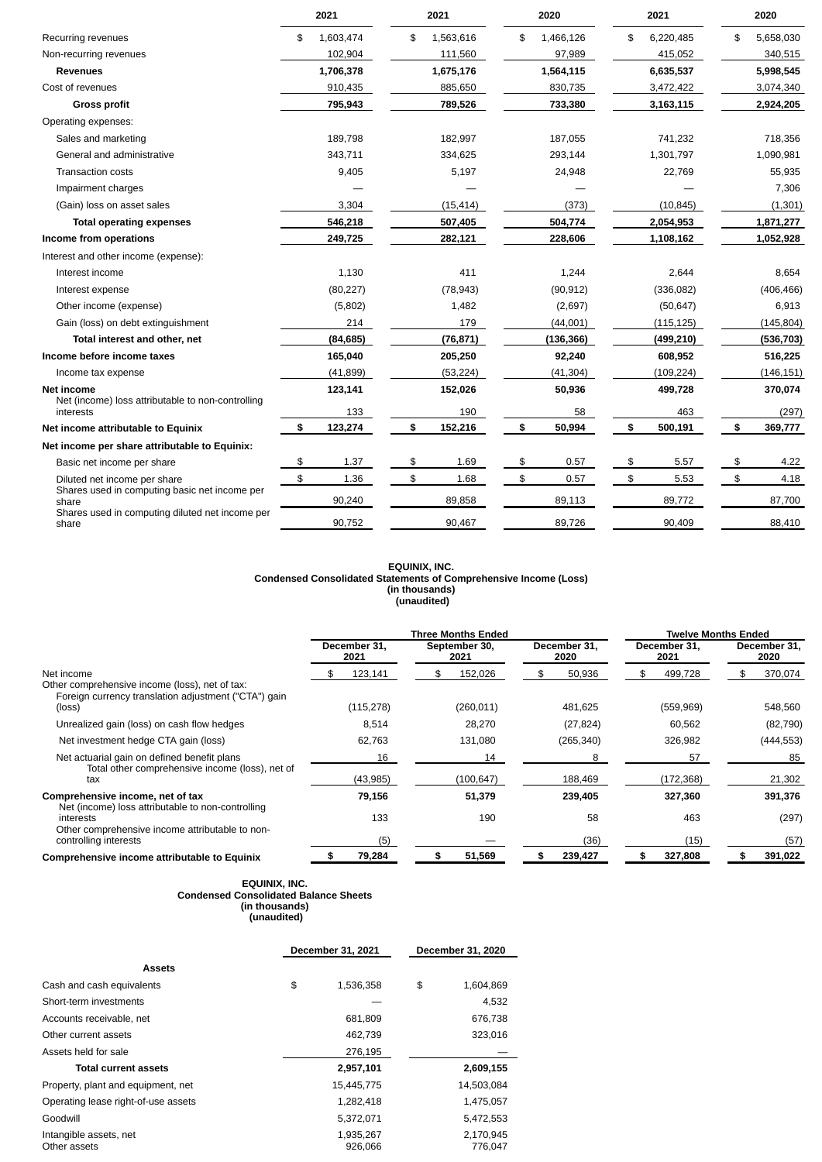|                                                                | 2021            |    | 2021      |    |            |    |            |                | 2020       |  | 2021 |  | 2020 |
|----------------------------------------------------------------|-----------------|----|-----------|----|------------|----|------------|----------------|------------|--|------|--|------|
| Recurring revenues                                             | \$<br>1,603,474 | \$ | 1,563,616 | \$ | 1,466,126  | \$ | 6,220,485  | \$             | 5,658,030  |  |      |  |      |
| Non-recurring revenues                                         | 102,904         |    | 111,560   |    | 97,989     |    | 415,052    |                | 340,515    |  |      |  |      |
| <b>Revenues</b>                                                | 1,706,378       |    | 1,675,176 |    | 1,564,115  |    | 6,635,537  |                | 5,998,545  |  |      |  |      |
| Cost of revenues                                               | 910,435         |    | 885,650   |    | 830,735    |    | 3,472,422  |                | 3,074,340  |  |      |  |      |
| <b>Gross profit</b>                                            | 795,943         |    | 789,526   |    | 733,380    |    | 3,163,115  |                | 2,924,205  |  |      |  |      |
| Operating expenses:                                            |                 |    |           |    |            |    |            |                |            |  |      |  |      |
| Sales and marketing                                            | 189.798         |    | 182,997   |    | 187,055    |    | 741,232    |                | 718,356    |  |      |  |      |
| General and administrative                                     | 343,711         |    | 334,625   |    | 293,144    |    | 1,301,797  |                | 1,090,981  |  |      |  |      |
| <b>Transaction costs</b>                                       | 9,405           |    | 5,197     |    | 24,948     |    | 22,769     |                | 55,935     |  |      |  |      |
| Impairment charges                                             |                 |    |           |    |            |    |            |                | 7,306      |  |      |  |      |
| (Gain) loss on asset sales                                     | 3,304           |    | (15, 414) |    | (373)      |    | (10, 845)  |                | (1, 301)   |  |      |  |      |
| <b>Total operating expenses</b>                                | 546,218         |    | 507,405   |    | 504,774    |    | 2,054,953  |                | 1,871,277  |  |      |  |      |
| Income from operations                                         | 249,725         |    | 282,121   |    | 228,606    |    | 1,108,162  |                | 1,052,928  |  |      |  |      |
| Interest and other income (expense):                           |                 |    |           |    |            |    |            |                |            |  |      |  |      |
| Interest income                                                | 1,130           |    | 411       |    | 1,244      |    | 2,644      |                | 8,654      |  |      |  |      |
| Interest expense                                               | (80, 227)       |    | (78, 943) |    | (90, 912)  |    | (336,082)  |                | (406, 466) |  |      |  |      |
| Other income (expense)                                         | (5,802)         |    | 1,482     |    | (2,697)    |    | (50, 647)  |                | 6,913      |  |      |  |      |
| Gain (loss) on debt extinguishment                             | 214             |    | 179       |    | (44,001)   |    | (115, 125) |                | (145, 804) |  |      |  |      |
| Total interest and other, net                                  | (84, 685)       |    | (76, 871) |    | (136, 366) |    | (499, 210) |                | (536, 703) |  |      |  |      |
| Income before income taxes                                     | 165,040         |    | 205,250   |    | 92,240     |    | 608,952    |                | 516,225    |  |      |  |      |
| Income tax expense                                             | (41, 899)       |    | (53, 224) |    | (41, 304)  |    | (109, 224) |                | (146, 151) |  |      |  |      |
| Net income                                                     | 123,141         |    | 152,026   |    | 50,936     |    | 499,728    |                | 370,074    |  |      |  |      |
| Net (income) loss attributable to non-controlling<br>interests | 133             |    | 190       |    | 58         |    | 463        |                | (297)      |  |      |  |      |
| Net income attributable to Equinix                             | \$<br>123,274   | \$ | 152,216   | \$ | 50,994     | \$ | 500,191    | \$             | 369,777    |  |      |  |      |
| Net income per share attributable to Equinix:                  |                 |    |           |    |            |    |            |                |            |  |      |  |      |
| Basic net income per share                                     | \$<br>1.37      | \$ | 1.69      | \$ | 0.57       | \$ | 5.57       | \$             | 4.22       |  |      |  |      |
| Diluted net income per share                                   | \$<br>1.36      | \$ | 1.68      | \$ | 0.57       | \$ | 5.53       | $\mathfrak{P}$ | 4.18       |  |      |  |      |
| Shares used in computing basic net income per<br>share         | 90,240          |    | 89,858    |    | 89,113     |    | 89,772     |                | 87,700     |  |      |  |      |
| Shares used in computing diluted net income per<br>share       | 90,752          |    | 90.467    |    | 89,726     |    | 90.409     |                | 88,410     |  |      |  |      |

#### **EQUINIX, INC. Condensed Consolidated Statements of Comprehensive Income (Loss) (in thousands) (unaudited)**

|                                                                                                                                |                            | <b>Three Months Ended</b>   |                         | <b>Twelve Months Ended</b>  |                          |  |  |  |
|--------------------------------------------------------------------------------------------------------------------------------|----------------------------|-----------------------------|-------------------------|-----------------------------|--------------------------|--|--|--|
|                                                                                                                                | December 31,<br>2021       | September 30,<br>2021       | December 31,<br>2020    | December 31,<br>2021        | December 31,<br>2020     |  |  |  |
| Net income<br>Other comprehensive income (loss), net of tax:<br>Foreign currency translation adjustment ("CTA") gain<br>(loss) | 123,141<br>Ъ<br>(115, 278) | 152,026<br>\$<br>(260, 011) | 50,936<br>\$<br>481,625 | 499,728<br>\$<br>(559, 969) | 370,074<br>\$<br>548,560 |  |  |  |
| Unrealized gain (loss) on cash flow hedges                                                                                     | 8,514                      | 28,270                      | (27, 824)               | 60,562                      | (82, 790)                |  |  |  |
| Net investment hedge CTA gain (loss)                                                                                           | 62,763                     | 131,080                     | (265, 340)              | 326,982                     | (444, 553)               |  |  |  |
| Net actuarial gain on defined benefit plans<br>Total other comprehensive income (loss), net of<br>tax                          | 16<br>(43,985)             | 14<br>(100, 647)            | 8<br>188,469            | 57<br>(172, 368)            | 85<br>21,302             |  |  |  |
| Comprehensive income, net of tax<br>Net (income) loss attributable to non-controlling                                          | 79,156                     | 51,379                      | 239,405                 | 327,360                     | 391,376                  |  |  |  |
| interests<br>Other comprehensive income attributable to non-<br>controlling interests                                          | 133<br>(5)                 | 190                         | 58<br>(36)              | 463<br>(15)                 | (297)<br>(57)            |  |  |  |
| Comprehensive income attributable to Equinix                                                                                   | 79,284<br>\$               | 51,569<br>\$                | 239,427<br>\$           | 327,808<br>\$               | \$<br>391,022            |  |  |  |

#### **EQUINIX, INC. Condensed Consolidated Balance Sheets (in thousands) (unaudited)**

|                                        | December 31, 2021    | December 31, 2020    |
|----------------------------------------|----------------------|----------------------|
| Assets                                 |                      |                      |
| Cash and cash equivalents              | \$<br>1,536,358      | \$<br>1.604.869      |
| Short-term investments                 |                      | 4.532                |
| Accounts receivable, net               | 681.809              | 676,738              |
| Other current assets                   | 462,739              | 323,016              |
| Assets held for sale                   | 276,195              |                      |
| <b>Total current assets</b>            | 2,957,101            | 2,609,155            |
| Property, plant and equipment, net     | 15,445,775           | 14,503,084           |
| Operating lease right-of-use assets    | 1,282,418            | 1,475,057            |
| Goodwill                               | 5,372,071            | 5,472,553            |
| Intangible assets, net<br>Other assets | 1,935,267<br>926.066 | 2,170,945<br>776,047 |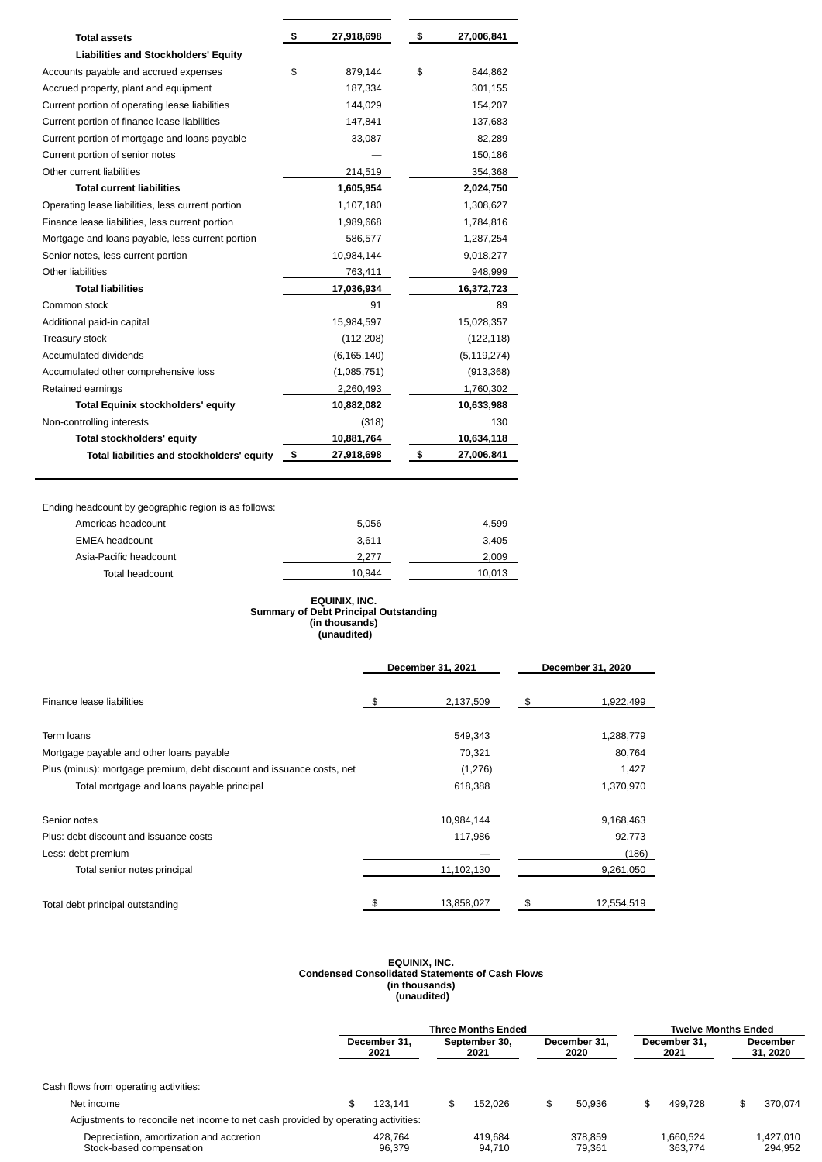| <b>Total assets</b>                               | \$<br>27,918,698 | \$<br>27,006,841 |
|---------------------------------------------------|------------------|------------------|
| <b>Liabilities and Stockholders' Equity</b>       |                  |                  |
| Accounts payable and accrued expenses             | \$<br>879,144    | \$<br>844,862    |
| Accrued property, plant and equipment             | 187,334          | 301,155          |
| Current portion of operating lease liabilities    | 144,029          | 154,207          |
| Current portion of finance lease liabilities      | 147,841          | 137,683          |
| Current portion of mortgage and loans payable     | 33,087           | 82,289           |
| Current portion of senior notes                   |                  | 150,186          |
| Other current liabilities                         | 214,519          | 354,368          |
| <b>Total current liabilities</b>                  | 1,605,954        | 2,024,750        |
| Operating lease liabilities, less current portion | 1,107,180        | 1,308,627        |
| Finance lease liabilities, less current portion   | 1,989,668        | 1,784,816        |
| Mortgage and loans payable, less current portion  | 586,577          | 1,287,254        |
| Senior notes, less current portion                | 10,984,144       | 9,018,277        |
| Other liabilities                                 | 763,411          | 948,999          |
| <b>Total liabilities</b>                          | 17,036,934       | 16,372,723       |
| Common stock                                      | 91               | 89               |
| Additional paid-in capital                        | 15,984,597       | 15,028,357       |
| Treasury stock                                    | (112, 208)       | (122, 118)       |
| Accumulated dividends                             | (6, 165, 140)    | (5, 119, 274)    |
| Accumulated other comprehensive loss              | (1,085,751)      | (913, 368)       |
| Retained earnings                                 | 2,260,493        | 1,760,302        |
| <b>Total Equinix stockholders' equity</b>         | 10,882,082       | 10,633,988       |
| Non-controlling interests                         | (318)            | 130              |
| <b>Total stockholders' equity</b>                 | 10,881,764       | 10,634,118       |
| Total liabilities and stockholders' equity        | \$<br>27,918,698 | \$<br>27,006,841 |

Ending headcount by geographic region is as follows:

| Americas headcount     | 5.056  | 4.599  |
|------------------------|--------|--------|
| <b>EMEA</b> headcount  | 3.611  | 3.405  |
| Asia-Pacific headcount | 2.277  | 2.009  |
| Total headcount        | 10.944 | 10.013 |
|                        |        |        |

#### **EQUINIX, INC. Summary of Debt Principal Outstanding (in thousands) (unaudited)**

|                                                                       |    | December 31, 2021 | December 31, 2020 |            |  |
|-----------------------------------------------------------------------|----|-------------------|-------------------|------------|--|
| Finance lease liabilities                                             | \$ | 2,137,509         | \$                | 1,922,499  |  |
| Term loans                                                            |    | 549,343           |                   | 1,288,779  |  |
| Mortgage payable and other loans payable                              |    | 70,321            |                   | 80,764     |  |
| Plus (minus): mortgage premium, debt discount and issuance costs, net |    | (1,276)           |                   | 1,427      |  |
| Total mortgage and loans payable principal                            |    | 618,388           |                   | 1,370,970  |  |
| Senior notes                                                          |    | 10,984,144        |                   | 9,168,463  |  |
| Plus: debt discount and issuance costs                                |    | 117,986           |                   | 92,773     |  |
| Less: debt premium                                                    |    |                   |                   | (186)      |  |
| Total senior notes principal                                          |    | 11,102,130        |                   | 9,261,050  |  |
| Total debt principal outstanding                                      |    | 13,858,027        | \$                | 12,554,519 |  |

#### **EQUINIX, INC. Condensed Consolidated Statements of Cash Flows (in thousands) (unaudited)**

|                                                                                   |    | <b>Three Months Ended</b> |    |                       |  |                   |                      | <b>Twelve Months Ended</b> |                      |                      |                             |  |
|-----------------------------------------------------------------------------------|----|---------------------------|----|-----------------------|--|-------------------|----------------------|----------------------------|----------------------|----------------------|-----------------------------|--|
|                                                                                   |    | December 31.<br>2021      |    | September 30.<br>2021 |  |                   | December 31.<br>2020 |                            | December 31.<br>2021 |                      | <b>December</b><br>31, 2020 |  |
| Cash flows from operating activities:                                             |    |                           |    |                       |  |                   |                      |                            |                      |                      |                             |  |
| Net income                                                                        | \$ | 123.141                   | \$ | 152.026               |  | 50.936            | \$                   | 499.728                    | \$                   | 370.074              |                             |  |
| Adjustments to reconcile net income to net cash provided by operating activities: |    |                           |    |                       |  |                   |                      |                            |                      |                      |                             |  |
| Depreciation, amortization and accretion<br>Stock-based compensation              |    | 428.764<br>96.379         |    | 419.684<br>94.710     |  | 378.859<br>79.361 |                      | 1.660.524<br>363.774       |                      | 1.427.010<br>294.952 |                             |  |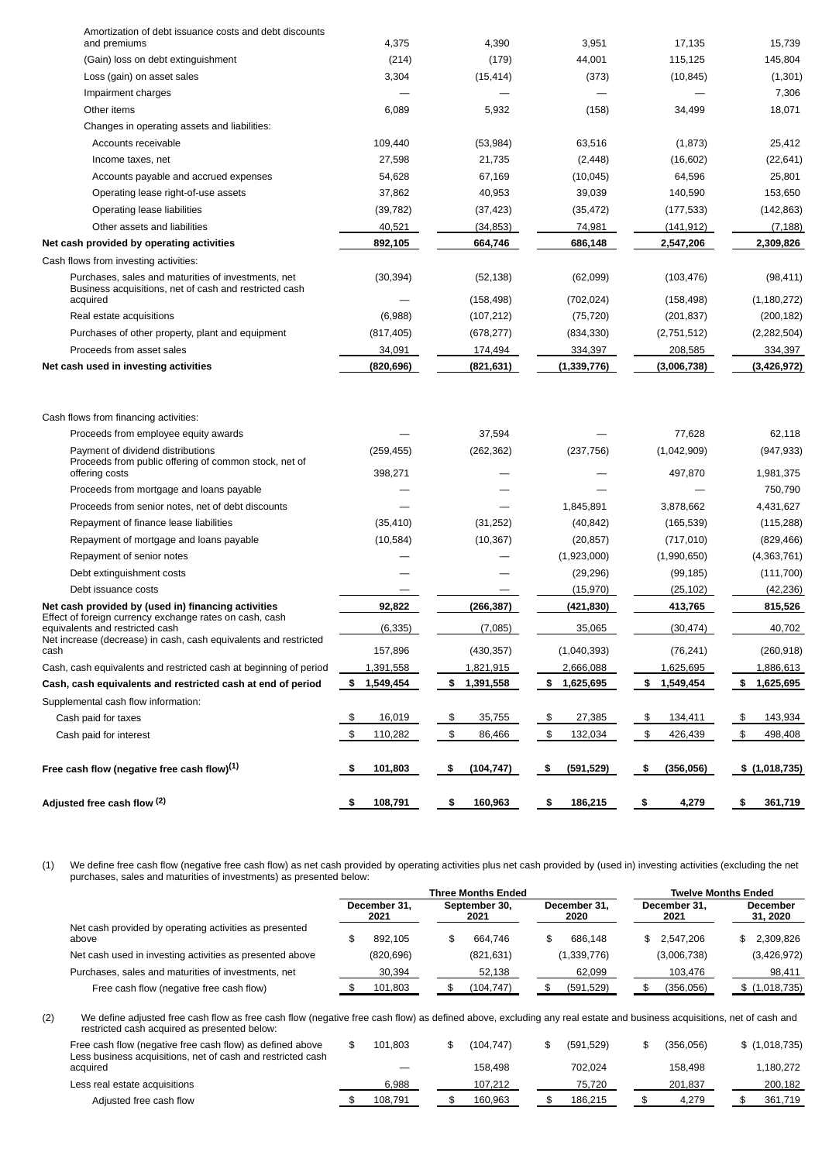| Adjusted free cash flow <sup>(2)</sup>                                                                       | 108,791<br>- 56       | 160,963<br>S,    | 186,215<br>S,    | 4,279<br>- 56          | 361,719<br>- \$         |
|--------------------------------------------------------------------------------------------------------------|-----------------------|------------------|------------------|------------------------|-------------------------|
| Free cash flow (negative free cash flow) $^{(1)}$                                                            | 101,803<br>- \$       | (104, 747)<br>\$ | (591, 529)<br>\$ | -\$<br>(356, 056)      | \$(1,018,735)           |
| Cash paid for interest                                                                                       | 110,282<br>\$         | \$<br>86,466     | \$<br>132,034    | \$<br>426,439          | \$<br>498,408           |
| Cash paid for taxes                                                                                          | 16,019<br>\$          | 35,755<br>\$     | 27,385<br>\$     | 134,411<br>\$          | 143,934<br>\$           |
| Supplemental cash flow information:                                                                          |                       |                  |                  |                        |                         |
| Cash, cash equivalents and restricted cash at end of period                                                  | \$ 1,549,454          | \$1,391,558      | \$1,625,695      | \$1,549,454            | \$1,625,695             |
| Cash, cash equivalents and restricted cash at beginning of period                                            | 1,391,558             | 1,821,915        | 2,666,088        | 1,625,695              | 1,886,613               |
| Net increase (decrease) in cash, cash equivalents and restricted<br>cash                                     | 157,896               | (430, 357)       | (1,040,393)      | (76, 241)              | (260, 918)              |
| Effect of foreign currency exchange rates on cash, cash<br>equivalents and restricted cash                   | (6, 335)              | (7,085)          | 35,065           | (30, 474)              | 40,702                  |
| Net cash provided by (used in) financing activities                                                          | 92,822                | (266, 387)       | (421,830)        | 413,765                | 815,526                 |
| Debt issuance costs                                                                                          |                       |                  | (15, 970)        | (25, 102)              | (42, 236)               |
| Debt extinguishment costs                                                                                    |                       |                  | (29, 296)        | (99, 185)              | (111, 700)              |
| Repayment of senior notes                                                                                    |                       |                  | (1,923,000)      | (1,990,650)            | (4,363,761)             |
| Repayment of mortgage and loans payable                                                                      | (10, 584)             | (10, 367)        | (20, 857)        | (717, 010)             | (829, 466)              |
| Repayment of finance lease liabilities                                                                       | (35, 410)             | (31, 252)        | (40, 842)        | (165, 539)             | (115, 288)              |
| Proceeds from senior notes, net of debt discounts                                                            |                       |                  | 1,845,891        | 3,878,662              | 4,431,627               |
| Proceeds from mortgage and loans payable                                                                     |                       |                  |                  |                        | 750,790                 |
| Payment of dividend distributions<br>Proceeds from public offering of common stock, net of<br>offering costs | (259, 455)<br>398,271 | (262, 362)       | (237, 756)       | (1,042,909)<br>497,870 | (947, 933)<br>1,981,375 |
| Proceeds from employee equity awards                                                                         |                       | 37,594           |                  | 77,628                 | 62,118                  |
| Cash flows from financing activities:                                                                        |                       |                  |                  |                        |                         |
| Net cash used in investing activities                                                                        | (820.696)             | (821,631)        | (1, 339, 776)    | (3,006,738)            | (3,426,972)             |
| Proceeds from asset sales                                                                                    | 34,091                | 174,494          | 334,397          | 208,585                | 334,397                 |
| Purchases of other property, plant and equipment                                                             | (817, 405)            | (678, 277)       | (834, 330)       | (2,751,512)            | (2, 282, 504)           |
| Real estate acquisitions                                                                                     | (6,988)               | (107, 212)       | (75, 720)        | (201, 837)             | (200, 182)              |
| Business acquisitions, net of cash and restricted cash<br>acquired                                           |                       | (158, 498)       | (702, 024)       | (158, 498)             | (1, 180, 272)           |
| Purchases, sales and maturities of investments, net                                                          | (30, 394)             | (52, 138)        | (62,099)         | (103, 476)             | (98, 411)               |
| Cash flows from investing activities:                                                                        |                       |                  |                  |                        |                         |
| Net cash provided by operating activities                                                                    | 892,105               | 664,746          | 686,148          | 2,547,206              | 2,309,826               |
| Other assets and liabilities                                                                                 | 40,521                | (34, 853)        | 74,981           | (141, 912)             | (7, 188)                |
| Operating lease liabilities                                                                                  | (39, 782)             | (37, 423)        | (35, 472)        | (177, 533)             | (142, 863)              |
| Operating lease right-of-use assets                                                                          | 37,862                | 40,953           | 39,039           | 140,590                | 153,650                 |
| Accounts payable and accrued expenses                                                                        | 54,628                | 67,169           | (10, 045)        | 64,596                 | 25,801                  |
| Income taxes, net                                                                                            | 27,598                | 21,735           | (2, 448)         | (16, 602)              | (22, 641)               |
| Accounts receivable                                                                                          | 109,440               | (53, 984)        | 63,516           | (1,873)                | 25,412                  |
| Changes in operating assets and liabilities:                                                                 |                       |                  |                  |                        |                         |
| Other items                                                                                                  | 6,089                 | 5,932            | (158)            | 34,499                 | 18,071                  |
| Impairment charges                                                                                           |                       |                  |                  |                        | 7,306                   |
| Loss (gain) on asset sales                                                                                   | 3,304                 | (15, 414)        | (373)            | (10, 845)              | (1,301)                 |
| (Gain) loss on debt extinguishment                                                                           | (214)                 | (179)            | 44,001           | 115,125                | 145,804                 |
| Amortization of debt issuance costs and debt discounts<br>and premiums                                       | 4,375                 | 4,390            | 3,951            | 17,135                 | 15,739                  |
|                                                                                                              |                       |                  |                  |                        |                         |

(1) We define free cash flow (negative free cash flow) as net cash provided by operating activities plus net cash provided by (used in) investing activities (excluding the net purchases, sales and maturities of investments) as presented below:

|                                                                 | <b>Three Months Ended</b> |                      |  |                       |  |                      | <b>Twelve Months Ended</b> |             |                             |               |
|-----------------------------------------------------------------|---------------------------|----------------------|--|-----------------------|--|----------------------|----------------------------|-------------|-----------------------------|---------------|
|                                                                 |                           | December 31.<br>2021 |  | September 30.<br>2021 |  | December 31.<br>2020 | December 31.<br>2021       |             | <b>December</b><br>31, 2020 |               |
| Net cash provided by operating activities as presented<br>above |                           | 892.105              |  | 664.746               |  | 686.148              |                            | \$2.547.206 |                             | 2.309.826     |
| Net cash used in investing activities as presented above        |                           | (820, 696)           |  | (821, 631)            |  | (1,339,776)          |                            | (3,006,738) |                             | (3,426,972)   |
| Purchases, sales and maturities of investments, net             |                           | 30.394               |  | 52,138                |  | 62.099               |                            | 103.476     |                             | 98.411        |
| Free cash flow (negative free cash flow)                        |                           | 101.803              |  | (104,747)             |  | (591, 529)           |                            | (356, 056)  |                             | \$(1,018,735) |

(2) We define adjusted free cash flow as free cash flow (negative free cash flow) as defined above, excluding any real estate and business acquisitions, net of cash and restricted cash acquired as presented below:

| Free cash flow (negative free cash flow) as defined above<br>Less business acquisitions, net of cash and restricted cash | 101.803 |  | (104.747) |  | (591.529) |  | (356.056) |  | \$(1,018,735) |
|--------------------------------------------------------------------------------------------------------------------------|---------|--|-----------|--|-----------|--|-----------|--|---------------|
| acquired                                                                                                                 |         |  | 158.498   |  | 702.024   |  | 158.498   |  | 1.180.272     |
| Less real estate acquisitions                                                                                            | 6.988   |  | 107.212   |  | 75.720    |  | 201.837   |  | 200.182       |
| Adjusted free cash flow                                                                                                  | 108.791 |  | 160.963   |  | 186.215   |  | 4.279     |  | 361.719       |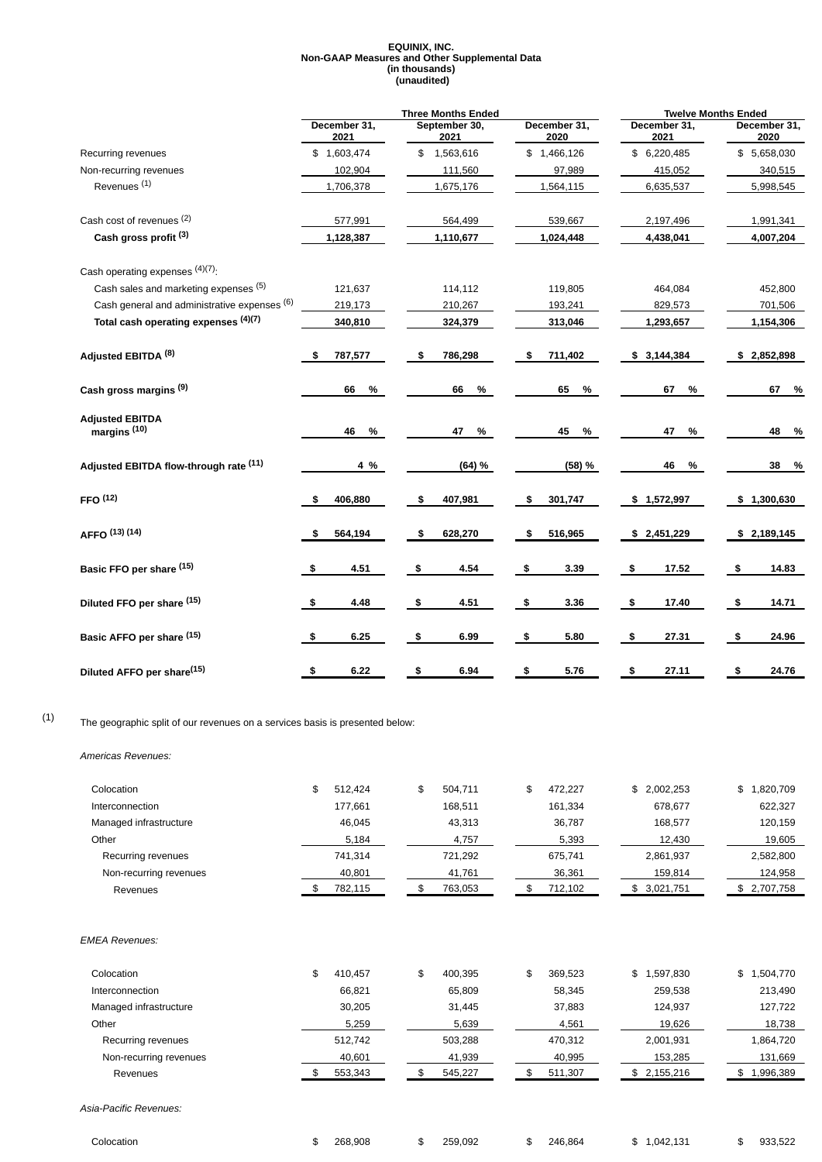#### **EQUINIX, INC. Non-GAAP Measures and Other Supplemental Data (in thousands) (unaudited)**

|                                                   |                      | <b>Three Months Ended</b> |                      | <b>Twelve Months Ended</b> |                      |
|---------------------------------------------------|----------------------|---------------------------|----------------------|----------------------------|----------------------|
|                                                   | December 31,<br>2021 | September 30,<br>2021     | December 31,<br>2020 | December 31,<br>2021       | December 31,<br>2020 |
| Recurring revenues                                | \$1,603,474          | \$1,563,616               | \$1,466,126          | \$6,220,485                | \$5,658,030          |
| Non-recurring revenues                            | 102,904              | 111,560                   | 97,989               | 415,052                    | 340,515              |
| Revenues $(1)$                                    | 1,706,378            | 1,675,176                 | 1,564,115            | 6,635,537                  | 5,998,545            |
| Cash cost of revenues (2)                         | 577,991              | 564,499                   | 539,667              | 2,197,496                  | 1,991,341            |
| Cash gross profit (3)                             | 1,128,387            | 1,110,677                 | 1,024,448            | 4,438,041                  | 4,007,204            |
| Cash operating expenses (4)(7).                   |                      |                           |                      |                            |                      |
| Cash sales and marketing expenses (5)             | 121,637              | 114,112                   | 119,805              | 464,084                    | 452,800              |
| Cash general and administrative expenses (6)      | 219,173              | 210.267                   | 193,241              | 829,573                    | 701,506              |
| Total cash operating expenses (4)(7)              | 340,810              | 324,379                   | 313,046              | 1,293,657                  | 1,154,306            |
| Adjusted EBITDA <sup>(8)</sup>                    | 787,577              | 786,298<br>\$             | 711,402<br>\$        | \$3,144,384                | \$2,852,898          |
| Cash gross margins <sup>(9)</sup>                 | 66<br>%              | 66<br>%                   | 65<br>$\%$           | 67<br>%                    | 67 %                 |
| <b>Adjusted EBITDA</b><br>margins <sup>(10)</sup> | 46<br>%              | 47<br>%                   | 45<br>%              | 47<br>%                    | 48<br>- %            |
| Adjusted EBITDA flow-through rate (11)            | 4 %                  | (64) %                    | (58) %               | 46<br>%                    | 38<br>- %            |
| FFO <sup>(12)</sup>                               | 406,880<br>\$        | 407,981<br>\$             | \$<br>301,747        | \$1,572,997                | \$1,300,630          |
| AFFO (13) (14)                                    | 564,194<br>S         | 628,270<br>\$             | 516,965<br>\$        | \$2,451,229                | \$2,189,145          |
| Basic FFO per share (15)                          | 4.51<br>\$           | -\$<br>4.54               | 3.39<br>\$           | 17.52<br>- \$              | \$<br>14.83          |
| Diluted FFO per share (15)                        | 4.48<br>\$           | \$<br>4.51                | \$<br>3.36           | 17.40<br>\$                | \$<br>14.71          |
| Basic AFFO per share (15)                         | 6.25<br>\$           | \$<br>6.99                | \$<br>5.80           | 27.31<br>- \$              | 24.96<br>- \$        |
| Diluted AFFO per share <sup>(15)</sup>            | 6.22<br>\$           | \$<br>6.94                | \$<br>5.76           | \$<br>27.11                | \$<br>24.76          |

## (1) The geographic split of our revenues on <sup>a</sup> services basis is presented below:

*Americas Revenues:*

| Colocation             | 512.424<br>\$ | 504.711<br>\$ | 472.227<br>\$ | \$2,002,253     | \$1,820,709  |
|------------------------|---------------|---------------|---------------|-----------------|--------------|
| <b>Interconnection</b> | 177.661       | 168.511       | 161.334       | 678.677         | 622,327      |
| Managed infrastructure | 46,045        | 43,313        | 36,787        | 168,577         | 120,159      |
| Other                  | 5,184         | 4,757         | 5,393         | 12,430          | 19,605       |
| Recurring revenues     | 741.314       | 721.292       | 675.741       | 2,861,937       | 2,582,800    |
| Non-recurring revenues | 40,801        | 41,761        | 36,361        | 159,814         | 124,958      |
| Revenues               | 782.115       | 763,053       | 712,102       | 3,021,751<br>S. | \$ 2.707.758 |

#### *EMEA Revenues:*

| Colocation             | \$<br>410,457 | \$<br>400.395 | 369,523<br>\$ | \$1,597,830     | \$1,504,770 |
|------------------------|---------------|---------------|---------------|-----------------|-------------|
| Interconnection        | 66,821        | 65,809        | 58,345        | 259,538         | 213,490     |
| Managed infrastructure | 30,205        | 31,445        | 37,883        | 124.937         | 127,722     |
| Other                  | 5,259         | 5,639         | 4,561         | 19,626          | 18,738      |
| Recurring revenues     | 512,742       | 503,288       | 470,312       | 2,001,931       | 1,864,720   |
| Non-recurring revenues | 40,601        | 41,939        | 40,995        | 153,285         | 131,669     |
| Revenues               | 553,343       | 545,227       | 511,307       | 2,155,216<br>\$ | 1,996,389   |
|                        |               |               |               |                 |             |
| Asia-Pacific Revenues: |               |               |               |                 |             |

| Colocation |  | 268,908 |  | 259,092 | \$ | 246,864 | ה. | 1,042,131 | $\rightarrow$<br>ж. | 933,522<br>__ |
|------------|--|---------|--|---------|----|---------|----|-----------|---------------------|---------------|
|------------|--|---------|--|---------|----|---------|----|-----------|---------------------|---------------|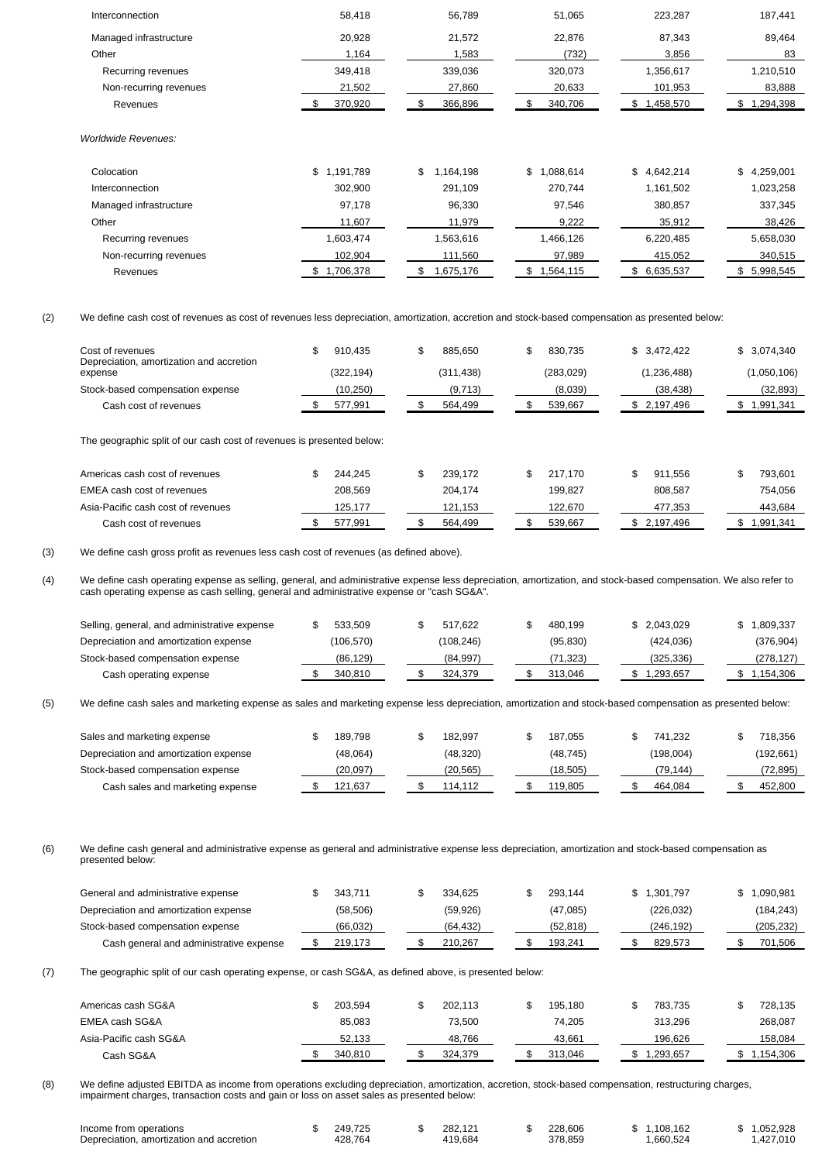| Interconnection                          | 58,418         | 56,789          | 51,065        | 223,287         | 187,441         |
|------------------------------------------|----------------|-----------------|---------------|-----------------|-----------------|
| Managed infrastructure                   | 20,928         | 21,572          | 22,876        | 87,343          | 89,464          |
| Other                                    | 1,164          | 1,583           | (732)         | 3,856           | 83              |
| Recurring revenues                       | 349,418        | 339,036         | 320,073       | 1,356,617       | 1,210,510       |
| Non-recurring revenues                   | 21,502         | 27,860          | 20,633        | 101,953         | 83,888          |
| Revenues                                 | 370,920<br>\$  | 366,896<br>\$   | 340,706<br>\$ | \$1,458,570     | \$1,294,398     |
| <b>Worldwide Revenues:</b><br>Colocation | \$1,191,789    | 1,164,198<br>\$ | \$1,088,614   | \$<br>4,642,214 | \$4,259,001     |
| Interconnection                          | 302,900        | 291,109         | 270,744       | 1,161,502       | 1,023,258       |
| Managed infrastructure                   | 97,178         | 96,330          | 97,546        | 380,857         | 337,345         |
| Other                                    | 11,607         | 11,979          | 9,222         | 35,912          | 38,426          |
| Recurring revenues                       | 1,603,474      | 1,563,616       | 1,466,126     | 6,220,485       | 5,658,030       |
| Non-recurring revenues                   | 102,904        | 111,560         | 97,989        | 415,052         | 340,515         |
| Revenues                                 | 1,706,378<br>S | 1,675,176<br>\$ | \$1,564,115   | \$ 6,635,537    | 5,998,545<br>\$ |
|                                          |                |                 |               |                 |                 |

(2) We define cash cost of revenues as cost of revenues less depreciation, amortization, accretion and stock-based compensation as presented below:

| Cost of revenues<br>Depreciation, amortization and accretion          | 910.435<br>\$       | 885.650<br>œ<br>╺        | 830.735<br>\$           | \$3.472.422              | \$3,074,340              |
|-----------------------------------------------------------------------|---------------------|--------------------------|-------------------------|--------------------------|--------------------------|
| expense                                                               | (322, 194)          | (311, 438)               | (283, 029)              | (1,236,488)              | (1,050,106)              |
| Stock-based compensation expense                                      | (10, 250)           | (9,713)                  | (8,039)                 | (38, 438)                | (32, 893)                |
| Cash cost of revenues                                                 | 577.991             | 564,499                  | 539,667                 | \$2,197,496              | \$1,991,341              |
| The geographic split of our cash cost of revenues is presented below: |                     |                          |                         |                          |                          |
| American cools cool of university                                     | 21121<br>$\uparrow$ | 220.172<br>$\rightarrow$ | 217.77<br>$\rightarrow$ | $0.11$ FFC<br>$\uparrow$ | 700.001<br>$\rightarrow$ |

| Americas cash cost of revenues     | 244.245 |  | 239.172 |  | 217.170 | 911.556   |  | 793.601   |
|------------------------------------|---------|--|---------|--|---------|-----------|--|-----------|
| EMEA cash cost of revenues         | 208.569 |  | 204.174 |  | 199.827 | 808.587   |  | 754.056   |
| Asia-Pacific cash cost of revenues | 125.177 |  | 121.153 |  | 122.670 | 477.353   |  | 443.684   |
| Cash cost of revenues              | 577.991 |  | 564.499 |  | 539.667 | 2.197.496 |  | 1.991.341 |

(3) We define cash gross profit as revenues less cash cost of revenues (as defined above).

(4) We define cash operating expense as selling, general, and administrative expense less depreciation, amortization, and stock-based compensation. We also refer to cash operating expense as cash selling, general and administrative expense or "cash SG&A".

| Selling, general, and administrative expense | 533.509    |  | 517.622    |  | 480.199   | \$2.043.029 | \$1,809,337 |
|----------------------------------------------|------------|--|------------|--|-----------|-------------|-------------|
| Depreciation and amortization expense        | (106, 570) |  | (108, 246) |  | (95, 830) | (424.036)   | (376, 904)  |
| Stock-based compensation expense             | (86,129)   |  | (84.997)   |  | (71.323)  | (325.336)   | (278, 127)  |
| Cash operating expense                       | 340,810    |  | 324.379    |  | 313,046   | 1,293,657   | \$1,154,306 |

(5) We define cash sales and marketing expense as sales and marketing expense less depreciation, amortization and stock-based compensation as presented below:

| Sales and marketing expense           | 189.798  | 182.997   |  | 187.055   | 741.232   |  | 718.356    |
|---------------------------------------|----------|-----------|--|-----------|-----------|--|------------|
| Depreciation and amortization expense | (48,064) | (48, 320) |  | (48, 745) | (198,004) |  | (192, 661) |
| Stock-based compensation expense      | (20.097) | (20.565)  |  | (18.505)  | (79.144)  |  | 72,895)    |
| Cash sales and marketing expense      | 121,637  | 114.112   |  | 119,805   | 464.084   |  | 452.800    |

(6) We define cash general and administrative expense as general and administrative expense less depreciation, amortization and stock-based compensation as presented below:

| General and administrative expense      | 343.711  |  | 334.625   |  | 293.144  | \$ 1.301.797 |  | 1.090.981 |
|-----------------------------------------|----------|--|-----------|--|----------|--------------|--|-----------|
| Depreciation and amortization expense   | (58,506) |  | (59, 926) |  | (47,085) | (226, 032)   |  | (184,243) |
| Stock-based compensation expense        | (66.032) |  | (64.432)  |  | (52.818) | (246.192)    |  | (205,232) |
| Cash general and administrative expense | 219.173  |  | 210.267   |  | 193.241  | 829.573      |  | 701.506   |

(7) The geographic split of our cash operating expense, or cash SG&A, as defined above, is presented below:

| Americas cash SG&A     | 203.594 |  | 202.113 |  | 195.180 | 783.735   |  | 728.135   |
|------------------------|---------|--|---------|--|---------|-----------|--|-----------|
| EMEA cash SG&A         | 85.083  |  | 73.500  |  | 74.205  | 313.296   |  | 268,087   |
| Asia-Pacific cash SG&A | 52.133  |  | 48.766  |  | 43.661  | 196.626   |  | 158.084   |
| Cash SG&A              | 340.810 |  | 324.379 |  | 313.046 | 1,293,657 |  | 1.154.306 |

(8) We define adjusted EBITDA as income from operations excluding depreciation, amortization, accretion, stock-based compensation, restructuring charges, impairment charges, transaction costs and gain or loss on asset sales as presented below:

| Income from operations                   | 249.725 | 282.121 | 228.606 | 1.108.162 | .052.928  |
|------------------------------------------|---------|---------|---------|-----------|-----------|
| Depreciation, amortization and accretion | 428.764 | 419.684 | 378.859 | 1.660.524 | +.427.010 |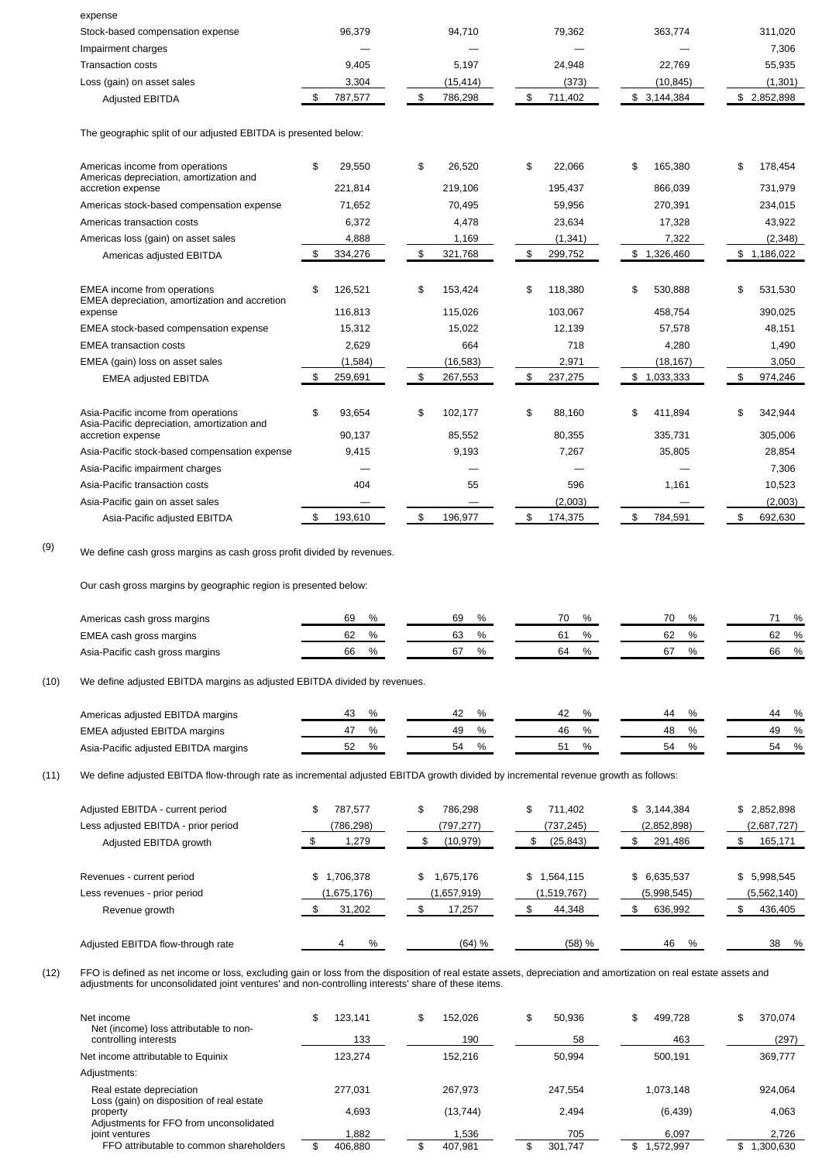| expense                                                                                                 |                          |                          |                          |                          |                          |
|---------------------------------------------------------------------------------------------------------|--------------------------|--------------------------|--------------------------|--------------------------|--------------------------|
| Stock-based compensation expense                                                                        | 96,379                   | 94,710                   | 79,362                   | 363,774                  | 311,020                  |
| Impairment charges                                                                                      |                          |                          |                          |                          | 7,306                    |
| <b>Transaction costs</b>                                                                                | 9,405                    | 5,197                    | 24,948                   | 22,769                   | 55,935                   |
| Loss (gain) on asset sales                                                                              | 3,304                    | (15, 414)                | (373)                    | (10, 845)                | (1, 301)                 |
| <b>Adjusted EBITDA</b>                                                                                  | \$<br>787,577            | \$<br>786,298            | \$<br>711,402            | \$3,144,384              | \$2,852,898              |
| The geographic split of our adjusted EBITDA is presented below:                                         |                          |                          |                          |                          |                          |
| Americas income from operations<br>Americas depreciation, amortization and                              | \$<br>29.550             | \$<br>26.520             | \$<br>22,066             | \$<br>165,380            | \$<br>178,454            |
| accretion expense                                                                                       | 221,814                  | 219,106                  | 195,437                  | 866,039                  | 731,979                  |
| Americas stock-based compensation expense                                                               | 71,652                   | 70,495                   | 59,956                   | 270,391                  | 234,015                  |
| Americas transaction costs                                                                              | 6,372                    | 4.478                    | 23,634                   | 17,328                   | 43,922                   |
| Americas loss (gain) on asset sales                                                                     | 4,888                    | 1,169                    | (1, 341)                 | 7,322                    | (2, 348)                 |
| Americas adjusted EBITDA                                                                                | \$<br>334,276            | \$<br>321,768            | \$<br>299,752            | \$1,326,460              | \$1,186,022              |
| EMEA income from operations<br>EMEA depreciation, amortization and accretion<br>expense                 | \$<br>126,521<br>116,813 | \$<br>153,424<br>115,026 | \$<br>118,380<br>103,067 | \$<br>530,888<br>458,754 | \$<br>531,530<br>390,025 |
| EMEA stock-based compensation expense                                                                   | 15,312                   | 15,022                   | 12,139                   | 57,578                   | 48,151                   |
| <b>EMEA</b> transaction costs                                                                           | 2,629                    | 664                      | 718                      | 4,280                    | 1,490                    |
| EMEA (gain) loss on asset sales                                                                         | (1, 584)                 | (16, 583)                | 2,971                    | (18, 167)                | 3,050                    |
| <b>EMEA adjusted EBITDA</b>                                                                             | \$<br>259,691            | \$<br>267,553            | \$<br>237,275            | \$1,033,333              | \$<br>974,246            |
| Asia-Pacific income from operations<br>Asia-Pacific depreciation, amortization and<br>accretion expense | \$<br>93,654<br>90,137   | \$<br>102,177<br>85,552  | \$<br>88,160<br>80,355   | \$<br>411,894<br>335,731 | \$<br>342,944<br>305,006 |
| Asia-Pacific stock-based compensation expense                                                           | 9,415                    | 9,193                    | 7,267                    | 35,805                   | 28,854                   |
| Asia-Pacific impairment charges                                                                         |                          |                          |                          |                          | 7,306                    |
| Asia-Pacific transaction costs                                                                          | 404                      | 55                       | 596                      | 1,161                    | 10,523                   |
| Asia-Pacific gain on asset sales                                                                        |                          |                          | (2,003)                  |                          | (2,003)                  |
| Asia-Pacific adjusted EBITDA                                                                            | \$<br>193,610            | \$<br>196,977            | \$<br>174,375            | \$<br>784,591            | \$<br>692,630            |

(9) We define cash gross margins as cash gross profit divided by revenues.

Our cash gross margins by geographic region is presented below:

| Americas cash gross margins     | 69 | 69 | $\%$ | 70      | $\frac{0}{0}$ | 70 |  |    | $\frac{0}{0}$ |
|---------------------------------|----|----|------|---------|---------------|----|--|----|---------------|
| EMEA cash gross margins         | 62 |    | $\%$ | nı<br>ັ | $\frac{0}{0}$ | ୰∠ |  | 62 | $\frac{0}{0}$ |
| Asia-Pacific cash gross margins | 66 |    | $\%$ | 64      | %             |    |  | 66 | $\frac{0}{0}$ |

(10) We define adjusted EBITDA margins as adjusted EBITDA divided by revenues.

| Americas adjusted EBITDA margins     |    | Δ, | $\frac{0}{6}$      | 44 | $\frac{0}{0}$<br>ΔД |
|--------------------------------------|----|----|--------------------|----|---------------------|
| EMEA adjusted EBITDA margins         |    | 49 | $\%$<br>46         | 48 | $\frac{0}{0}$<br>49 |
| Asia-Pacific adjusted EBITDA margins | 04 | 54 | $\frac{0}{6}$<br>∽ | 50 | $\frac{0}{0}$       |

(11) We define adjusted EBITDA flow-through rate as incremental adjusted EBITDA growth divided by incremental revenue growth as follows:

| Adjusted EBITDA - current period<br>Less adjusted EBITDA - prior period<br>Adjusted EBITDA growth | 787.577<br>\$<br>(786,298)<br>1,279 | 786.298<br>\$<br>(797,277)<br>(10, 979) | \$<br>711,402<br>(737, 245)<br>(25, 843) | \$3.144.384<br>(2,852,898)<br>291,486 | \$2,852,898<br>(2,687,727)<br>165,171 |
|---------------------------------------------------------------------------------------------------|-------------------------------------|-----------------------------------------|------------------------------------------|---------------------------------------|---------------------------------------|
| Revenues - current period                                                                         | \$1,706,378                         | 1,675,176<br>\$                         | \$1,564,115                              | \$6,635,537                           | \$5,998,545                           |
| Less revenues - prior period                                                                      | (1,675,176)                         | (1,657,919)                             | (1,519,767)                              | (5,998,545)                           | (5,562,140)                           |
| Revenue growth                                                                                    | 31,202                              | 17.257                                  | 44,348                                   | 636,992                               | 436,405                               |
| Adjusted EBITDA flow-through rate                                                                 | $\%$                                | (64) %                                  | (58) %                                   | 46<br>$\%$                            | 38<br>$\%$                            |

(12) FFO is defined as net income or loss, excluding gain or loss from the disposition of real estate assets, depreciation and amortization on real estate assets and adjustments for unconsolidated joint ventures' and non-controlling interests' share of these items.

| Net income<br>Net (income) loss attributable to non-<br>controlling interests | 123.141<br>\$<br>133 | 152.026<br>\$<br>190 | 50.936<br>\$<br>58 | 499.728<br>\$<br>463 | 370.074<br>\$<br>(297) |
|-------------------------------------------------------------------------------|----------------------|----------------------|--------------------|----------------------|------------------------|
| Net income attributable to Equinix                                            | 123.274              | 152.216              | 50.994             | 500.191              | 369,777                |
| Adjustments:                                                                  |                      |                      |                    |                      |                        |
| Real estate depreciation<br>Loss (gain) on disposition of real estate         | 277.031              | 267.973              | 247,554            | 1,073,148            | 924,064                |
| property                                                                      | 4.693                | (13, 744)            | 2.494              | (6, 439)             | 4,063                  |
| Adjustments for FFO from unconsolidated<br>joint ventures                     | 1,882                | 1,536                | 705                | 6.097                | 2,726                  |
| FFO attributable to common shareholders                                       | 406.880              | 407.981<br>\$        | 301.747<br>\$      | \$1.572.997          | \$1.300.630            |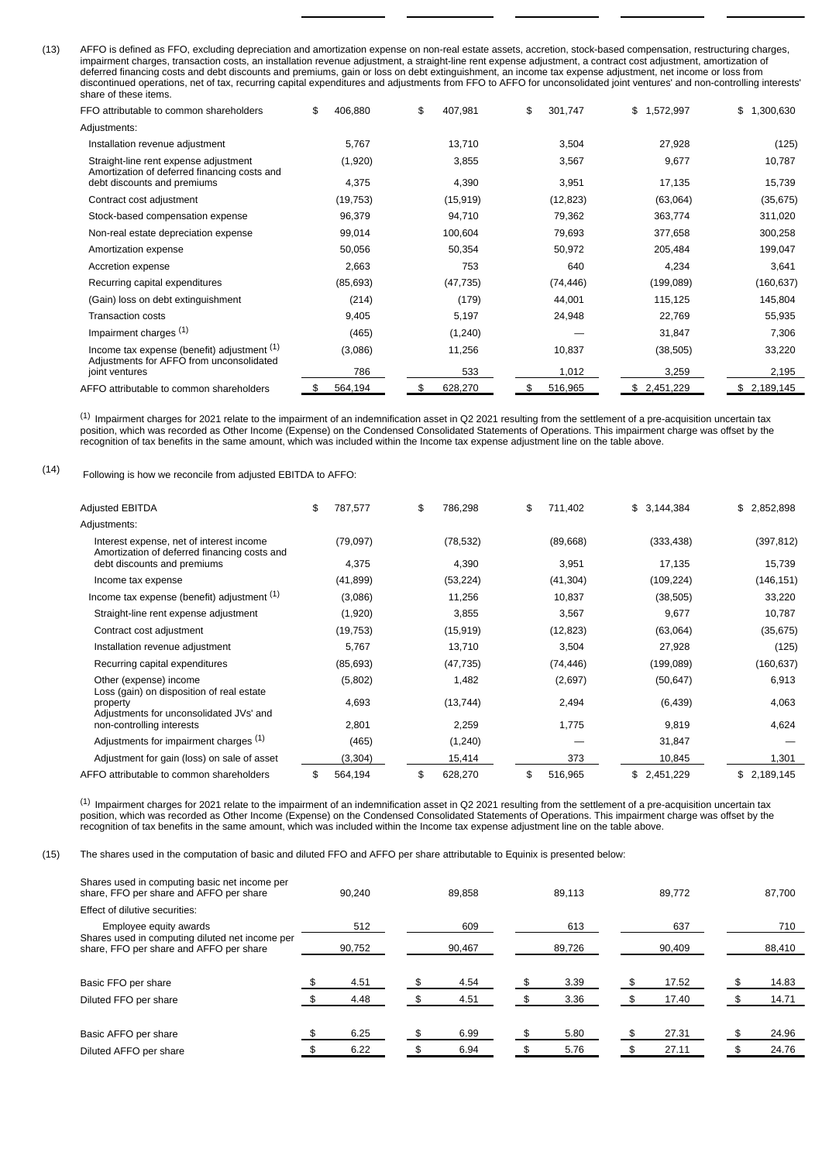(13) AFFO is defined as FFO, excluding depreciation and amortization expense on non-real estate assets, accretion, stock-based compensation, restructuring charges, impairment charges, transaction costs, an installation revenue adjustment, a straight-line rent expense adjustment, a contract cost adjustment, amortization of deferred financing costs and debt discounts and premiums, gain or loss on debt extinguishment, an income tax expense adjustment, net income or loss from discontinued operations, net of tax, recurring capital expenditures and adjustments from FFO to AFFO for unconsolidated joint ventures' and non-controlling interests' share of these items.

| זומוס טו נווסטס ונסוווט.                                                                  |               |               |               |                 |             |
|-------------------------------------------------------------------------------------------|---------------|---------------|---------------|-----------------|-------------|
| FFO attributable to common shareholders                                                   | 406,880<br>\$ | \$<br>407,981 | \$<br>301,747 | 1,572,997<br>\$ | \$1,300,630 |
| Adjustments:                                                                              |               |               |               |                 |             |
| Installation revenue adjustment                                                           | 5,767         | 13,710        | 3,504         | 27,928          | (125)       |
| Straight-line rent expense adjustment<br>Amortization of deferred financing costs and     | (1,920)       | 3,855         | 3,567         | 9,677           | 10,787      |
| debt discounts and premiums                                                               | 4,375         | 4,390         | 3,951         | 17,135          | 15,739      |
| Contract cost adjustment                                                                  | (19, 753)     | (15, 919)     | (12, 823)     | (63,064)        | (35, 675)   |
| Stock-based compensation expense                                                          | 96,379        | 94,710        | 79,362        | 363,774         | 311,020     |
| Non-real estate depreciation expense                                                      | 99,014        | 100,604       | 79,693        | 377,658         | 300,258     |
| Amortization expense                                                                      | 50,056        | 50,354        | 50,972        | 205,484         | 199,047     |
| Accretion expense                                                                         | 2,663         | 753           | 640           | 4,234           | 3,641       |
| Recurring capital expenditures                                                            | (85,693)      | (47, 735)     | (74, 446)     | (199,089)       | (160, 637)  |
| (Gain) loss on debt extinguishment                                                        | (214)         | (179)         | 44,001        | 115,125         | 145,804     |
| <b>Transaction costs</b>                                                                  | 9,405         | 5,197         | 24,948        | 22,769          | 55,935      |
| Impairment charges <sup>(1)</sup>                                                         | (465)         | (1,240)       |               | 31,847          | 7,306       |
| Income tax expense (benefit) adjustment $(1)$<br>Adjustments for AFFO from unconsolidated | (3,086)       | 11,256        | 10,837        | (38, 505)       | 33,220      |
| joint ventures                                                                            | 786           | 533           | 1,012         | 3,259           | 2,195       |
| AFFO attributable to common shareholders                                                  | 564,194<br>\$ | 628,270<br>\$ | 516,965<br>\$ | 2,451,229<br>\$ | \$2,189,145 |

 $^{\left( 1\right) }$  Impairment charges for 2021 relate to the impairment of an indemnification asset in Q2 2021 resulting from the settlement of a pre-acquisition uncertain tax position, which was recorded as Other Income (Expense) on the Condensed Consolidated Statements of Operations. This impairment charge was offset by the recognition of tax benefits in the same amount, which was included within the Income tax expense adjustment line on the table above.

(14) Following is how we reconcile from adjusted EBITDA to AFFO:

| Adjusted EBITDA                                                                          | \$<br>787,577 | \$<br>786,298 | \$<br>711,402 | \$3,144,384     | \$2,852,898 |
|------------------------------------------------------------------------------------------|---------------|---------------|---------------|-----------------|-------------|
| Adjustments:                                                                             |               |               |               |                 |             |
| Interest expense, net of interest income<br>Amortization of deferred financing costs and | (79,097)      | (78, 532)     | (89,668)      | (333, 438)      | (397, 812)  |
| debt discounts and premiums                                                              | 4,375         | 4,390         | 3,951         | 17,135          | 15,739      |
| Income tax expense                                                                       | (41, 899)     | (53, 224)     | (41, 304)     | (109, 224)      | (146, 151)  |
| Income tax expense (benefit) adjustment $(1)$                                            | (3,086)       | 11,256        | 10,837        | (38, 505)       | 33,220      |
| Straight-line rent expense adjustment                                                    | (1,920)       | 3,855         | 3,567         | 9,677           | 10,787      |
| Contract cost adjustment                                                                 | (19, 753)     | (15, 919)     | (12, 823)     | (63,064)        | (35, 675)   |
| Installation revenue adjustment                                                          | 5,767         | 13,710        | 3,504         | 27,928          | (125)       |
| Recurring capital expenditures                                                           | (85, 693)     | (47, 735)     | (74, 446)     | (199,089)       | (160, 637)  |
| Other (expense) income<br>Loss (gain) on disposition of real estate                      | (5,802)       | 1,482         | (2,697)       | (50, 647)       | 6,913       |
| property<br>Adjustments for unconsolidated JVs' and                                      | 4,693         | (13, 744)     | 2,494         | (6, 439)        | 4,063       |
| non-controlling interests                                                                | 2,801         | 2,259         | 1,775         | 9,819           | 4,624       |
| Adjustments for impairment charges (1)                                                   | (465)         | (1, 240)      |               | 31,847          |             |
| Adjustment for gain (loss) on sale of asset                                              | (3,304)       | 15,414        | 373           | 10,845          | 1,301       |
| AFFO attributable to common shareholders                                                 | \$<br>564,194 | \$<br>628,270 | \$<br>516,965 | 2,451,229<br>\$ | \$2,189,145 |

 $^{\left( 1\right) }$  Impairment charges for 2021 relate to the impairment of an indemnification asset in Q2 2021 resulting from the settlement of a pre-acquisition uncertain tax position, which was recorded as Other Income (Expense) on the Condensed Consolidated Statements of Operations. This impairment charge was offset by the recognition of tax benefits in the same amount, which was included within the Income tax expense adjustment line on the table above.

(15) The shares used in the computation of basic and diluted FFO and AFFO per share attributable to Equinix is presented below:

| Shares used in computing basic net income per<br>share, FFO per share and AFFO per share   |  | 90.240 |        | 89.858 | 89.113 |  | 89.772 |  |        | 87.700 |
|--------------------------------------------------------------------------------------------|--|--------|--------|--------|--------|--|--------|--|--------|--------|
| Effect of dilutive securities:                                                             |  |        |        |        |        |  |        |  |        |        |
| Employee equity awards                                                                     |  | 512    |        | 609    | 613    |  | 637    |  |        | 710    |
| Shares used in computing diluted net income per<br>share, FFO per share and AFFO per share |  | 90,752 | 90,467 |        | 89,726 |  | 90,409 |  | 88,410 |        |
|                                                                                            |  |        |        |        |        |  |        |  |        |        |
| Basic FFO per share                                                                        |  | 4.51   |        | 4.54   | 3.39   |  | 17.52  |  |        | 14.83  |
| Diluted FFO per share                                                                      |  | 4.48   |        | 4.51   | 3.36   |  | 17.40  |  |        | 14.71  |
|                                                                                            |  |        |        |        |        |  |        |  |        |        |
| Basic AFFO per share                                                                       |  | 6.25   |        | 6.99   | 5.80   |  | 27.31  |  |        | 24.96  |
| Diluted AFFO per share                                                                     |  | 6.22   |        | 6.94   | 5.76   |  | 27.11  |  |        | 24.76  |